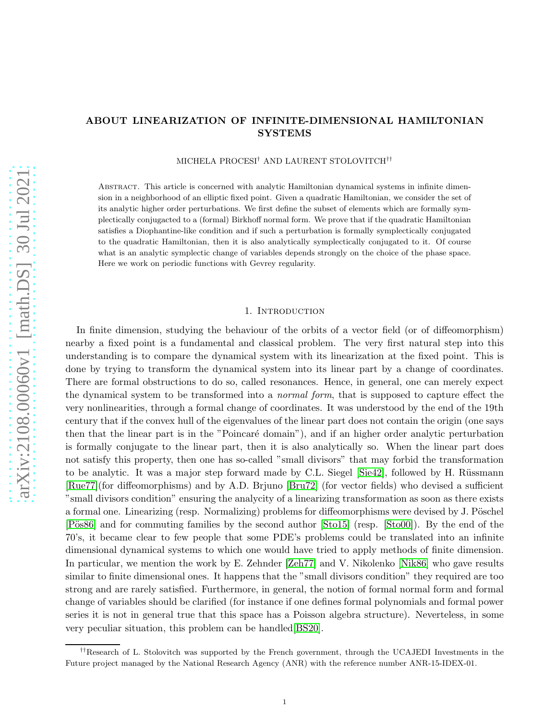# ABOUT LINEARIZATION OF INFINITE-DIMENSIONAL HAMILTONIAN SYSTEMS

MICHELA PROCESI† AND LAURENT STOLOVITCH††

Abstract. This article is concerned with analytic Hamiltonian dynamical systems in infinite dimension in a neighborhood of an elliptic fixed point. Given a quadratic Hamiltonian, we consider the set of its analytic higher order perturbations. We first define the subset of elements which are formally symplectically conjugacted to a (formal) Birkhoff normal form. We prove that if the quadratic Hamiltonian satisfies a Diophantine-like condition and if such a perturbation is formally symplectically conjugated to the quadratic Hamiltonian, then it is also analytically symplectically conjugated to it. Of course what is an analytic symplectic change of variables depends strongly on the choice of the phase space. Here we work on periodic functions with Gevrey regularity.

#### 1. INTRODUCTION

In finite dimension, studying the behaviour of the orbits of a vector field (or of diffeomorphism) nearby a fixed point is a fundamental and classical problem. The very first natural step into this understanding is to compare the dynamical system with its linearization at the fixed point. This is done by trying to transform the dynamical system into its linear part by a change of coordinates. There are formal obstructions to do so, called resonances. Hence, in general, one can merely expect the dynamical system to be transformed into a *normal form*, that is supposed to capture effect the very nonlinearities, through a formal change of coordinates. It was understood by the end of the 19th century that if the convex hull of the eigenvalues of the linear part does not contain the origin (one says then that the linear part is in the "Poincaré domain"), and if an higher order analytic perturbation is formally conjugate to the linear part, then it is also analytically so. When the linear part does not satisfy this property, then one has so-called "small divisors" that may forbid the transformation to be analytic. It was a major step forward made by C.L. Siegel  $[Sie42]$ , followed by H. Rüssmann [\[Rue77\]](#page-26-1)(for diffeomorphisms) and by A.D. Brjuno [\[Bru72\]](#page-25-0) (for vector fields) who devised a sufficient "small divisors condition" ensuring the analycity of a linearizing transformation as soon as there exists a formal one. Linearizing (resp. Normalizing) problems for diffeomorphisms were devised by J. Pöschel [Pös86] and for commuting families by the second author [\[Sto15\]](#page-26-3) (resp. [\[Sto00\]](#page-26-4)). By the end of the 70's, it became clear to few people that some PDE's problems could be translated into an infinite dimensional dynamical systems to which one would have tried to apply methods of finite dimension. In particular, we mention the work by E. Zehnder [\[Zeh77\]](#page-26-5) and V. Nikolenko [\[Nik86\]](#page-26-6) who gave results similar to finite dimensional ones. It happens that the "small divisors condition" they required are too strong and are rarely satisfied. Furthermore, in general, the notion of formal normal form and formal change of variables should be clarified (for instance if one defines formal polynomials and formal power series it is not in general true that this space has a Poisson algebra structure). Neverteless, in some very peculiar situation, this problem can be handled[\[BS20\]](#page-24-0).

<sup>††</sup>Research of L. Stolovitch was supported by the French government, through the UCAJEDI Investments in the Future project managed by the National Research Agency (ANR) with the reference number ANR-15-IDEX-01.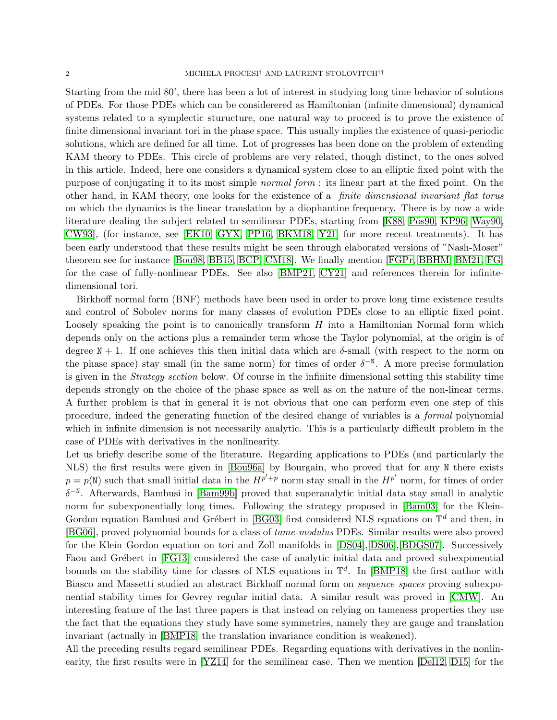Starting from the mid 80', there has been a lot of interest in studying long time behavior of solutions of PDEs. For those PDEs which can be considerered as Hamiltonian (infinite dimensional) dynamical systems related to a symplectic sturucture, one natural way to proceed is to prove the existence of finite dimensional invariant tori in the phase space. This usually implies the existence of quasi-periodic solutions, which are defined for all time. Lot of progresses has been done on the problem of extending KAM theory to PDEs. This circle of problems are very related, though distinct, to the ones solved in this article. Indeed, here one considers a dynamical system close to an elliptic fixed point with the purpose of conjugating it to its most simple *normal form* : its linear part at the fixed point. On the other hand, in KAM theory, one looks for the existence of a *finite dimensional invariant flat torus* on which the dynamics is the linear translation by a diophantine frequency. There is by now a wide literature dealing the subject related to semilinear PDEs, starting from [\[K88,](#page-26-7) Pös90, [KP96,](#page-26-9) [Way90,](#page-26-10) [CW93\]](#page-25-1), (for instance, see [\[EK10,](#page-25-2) [GYX,](#page-26-11) [PP16,](#page-26-12) [BKM18,](#page-24-1) [Y21\]](#page-26-13) for more recent treatments). It has been early understood that these results might be seen through elaborated versions of "Nash-Moser" theorem see for instance [\[Bou98,](#page-25-3) [BB15,](#page-24-2) [BCP,](#page-25-4) [CM18\]](#page-25-5). We finally mention [\[FGPr,](#page-25-6) [BBHM,](#page-24-3) [BM21,](#page-25-7) [FG\]](#page-25-8) for the case of fully-nonlinear PDEs. See also [\[BMP21,](#page-25-9) [CY21\]](#page-25-10) and references therein for infinitedimensional tori.

Birkhoff normal form (BNF) methods have been used in order to prove long time existence results and control of Sobolev norms for many classes of evolution PDEs close to an elliptic fixed point. Loosely speaking the point is to canonically transform  $H$  into a Hamiltonian Normal form which depends only on the actions plus a remainder term whose the Taylor polynomial, at the origin is of degree  $N + 1$ . If one achieves this then initial data which are  $\delta$ -small (with respect to the norm on the phase space) stay small (in the same norm) for times of order  $\delta^{-N}$ . A more precise formulation is given in the *Strategy section* below. Of course in the infinite dimensional setting this stability time depends strongly on the choice of the phase space as well as on the nature of the non-linear terms. A further problem is that in general it is not obvious that one can perform even one step of this procedure, indeed the generating function of the desired change of variables is a *formal* polynomial which in infinite dimension is not necessarily analytic. This is a particularly difficult problem in the case of PDEs with derivatives in the nonlinearity.

Let us briefly describe some of the literature. Regarding applications to PDEs (and particularly the NLS) the first results were given in [\[Bou96a\]](#page-25-11) by Bourgain, who proved that for any N there exists  $p = p(N)$  such that small initial data in the  $H^{p'+p}$  norm stay small in the  $H^{p'}$  norm, for times of order  $\delta^{-N}$ . Afterwards, Bambusi in [\[Bam99b\]](#page-24-4) proved that superanalytic initial data stay small in analytic norm for subexponentially long times. Following the strategy proposed in [\[Bam03\]](#page-24-5) for the Klein-Gordon equation Bambusi and Grébert in [\[BG03\]](#page-24-6) first considered NLS equations on  $\mathbb{T}^d$  and then, in [\[BG06\]](#page-24-7), proved polynomial bounds for a class of *tame-modulus* PDEs. Similar results were also proved for the Klein Gordon equation on tori and Zoll manifolds in [\[DS04\]](#page-25-12),[\[DS06\]](#page-25-13),[\[BDGS07\]](#page-24-8). Successively Faou and Grébert in [\[FG13\]](#page-25-14) considered the case of analytic initial data and proved subexponential bounds on the stability time for classes of NLS equations in  $\mathbb{T}^d$ . In [\[BMP18\]](#page-25-15) the first author with Biasco and Massetti studied an abstract Birkhoff normal form on *sequence spaces* proving subexponential stability times for Gevrey regular initial data. A similar result was proved in [\[CMW\]](#page-25-16). An interesting feature of the last three papers is that instead on relying on tameness properties they use the fact that the equations they study have some symmetries, namely they are gauge and translation invariant (actually in [\[BMP18\]](#page-25-15) the translation invariance condition is weakened).

All the preceding results regard semilinear PDEs. Regarding equations with derivatives in the nonlinearity, the first results were in [\[YZ14\]](#page-26-14) for the semilinear case. Then we mention [\[Del12,](#page-25-17) [D15\]](#page-25-18) for the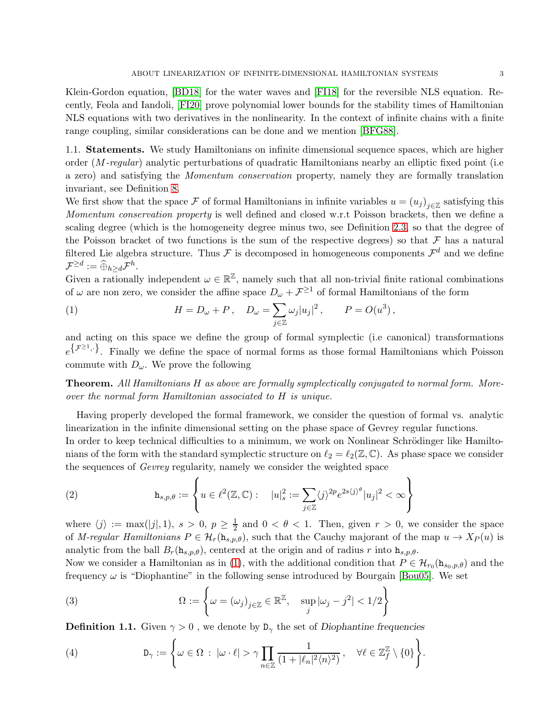Klein-Gordon equation, [\[BD18\]](#page-25-19) for the water waves and [\[FI18\]](#page-26-15) for the reversible NLS equation. Recently, Feola and Iandoli, [\[FI20\]](#page-26-16) prove polynomial lower bounds for the stability times of Hamiltonian NLS equations with two derivatives in the nonlinearity. In the context of infinite chains with a finite range coupling, similar considerations can be done and we mention [\[BFG88\]](#page-24-9).

1.1. Statements. We study Hamiltonians on infinite dimensional sequence spaces, which are higher order (M*-regular*) analytic perturbations of quadratic Hamiltonians nearby an elliptic fixed point (i.e a zero) and satisfying the *Momentum conservation* property, namely they are formally translation invariant, see Definition [8.](#page-4-0)

We first show that the space F of formal Hamiltonians in infinite variables  $u = (u_j)_{j \in \mathbb{Z}}$  satisfying this *Momentum conservation property* is well defined and closed w.r.t Poisson brackets, then we define a scaling degree (which is the homogeneity degree minus two, see Definition [2.3,](#page-4-1) so that the degree of the Poisson bracket of two functions is the sum of the respective degrees) so that  $\mathcal F$  has a natural filtered Lie algebra structure. Thus  $\mathcal F$  is decomposed in homogeneous components  $\mathcal F^d$  and we define  $\mathcal{F}^{\geq d}:=\widehat{\oplus}_{h\geq d}\mathcal{F}^h.$ 

Given a rationally independent  $\omega \in \mathbb{R}^{\mathbb{Z}}$ , namely such that all non-trivial finite rational combinations of  $\omega$  are non zero, we consider the affine space  $D_{\omega} + \mathcal{F}^{\geq 1}$  of formal Hamiltonians of the form

<span id="page-2-0"></span>(1) 
$$
H = D_{\omega} + P, \quad D_{\omega} = \sum_{j \in \mathbb{Z}} \omega_j |u_j|^2, \qquad P = O(u^3),
$$

and acting on this space we define the group of formal symplectic (i.e canonical) transformations  $e^{\{\mathcal{F}^{\geq 1},\}\}\$ . Finally we define the space of normal forms as those formal Hamiltonians which Poisson commute with  $D_{\omega}$ . We prove the following

Theorem. *All Hamiltonians* H *as above are formally symplectically conjugated to normal form. Moreover the normal form Hamiltonian associated to* H *is unique.*

Having properly developed the formal framework, we consider the question of formal vs. analytic linearization in the infinite dimensional setting on the phase space of Gevrey regular functions.

In order to keep technical difficulties to a minimum, we work on Nonlinear Schrödinger like Hamiltonians of the form with the standard symplectic structure on  $\ell_2 = \ell_2(\mathbb{Z}, \mathbb{C})$ . As phase space we consider the sequences of *Gevrey* regularity, namely we consider the weighted space

(2) 
$$
\mathbf{h}_{s,p,\theta} := \left\{ u \in \ell^2(\mathbb{Z}, \mathbb{C}) : \quad |u|_s^2 := \sum_{j \in \mathbb{Z}} \langle j \rangle^{2p} e^{2s \langle j \rangle^{\theta}} |u_j|^2 < \infty \right\}
$$

where  $\langle j \rangle := \max(|j|, 1), s > 0, p \ge \frac{1}{2}$  and  $0 < \theta < 1$ . Then, given  $r > 0$ , we consider the space of *M-regular Hamiltonians*  $P \in H_r(\mathbf{h}_{s,p,\theta})$ , such that the Cauchy majorant of the map  $u \to X_P(u)$  is analytic from the ball  $B_r(\mathbf{h}_{s,p,\theta})$ , centered at the origin and of radius r into  $\mathbf{h}_{s,p,\theta}$ .

Now we consider a Hamiltonian as in [\(1\)](#page-2-0), with the additional condition that  $P \in \mathcal{H}_{r_0}(\mathbf{h}_{s_0,p,\theta})$  and the frequency  $\omega$  is "Diophantine" in the following sense introduced by Bourgain [\[Bou05\]](#page-25-20). We set

(3) 
$$
\Omega := \left\{ \omega = (\omega_j)_{j \in \mathbb{Z}} \in \mathbb{R}^{\mathbb{Z}}, \quad \sup_j |\omega_j - j^2| < 1/2 \right\}
$$

**Definition 1.1.** Given  $\gamma > 0$ , we denote by  $D_{\gamma}$  the set of Diophantine frequencies

<span id="page-2-1"></span>(4) 
$$
D_{\gamma} := \left\{ \omega \in \Omega : |\omega \cdot \ell| > \gamma \prod_{n \in \mathbb{Z}} \frac{1}{(1 + |\ell_n|^2 \langle n \rangle^2)}, \quad \forall \ell \in \mathbb{Z}_{f}^{\mathbb{Z}} \setminus \{0\} \right\}.
$$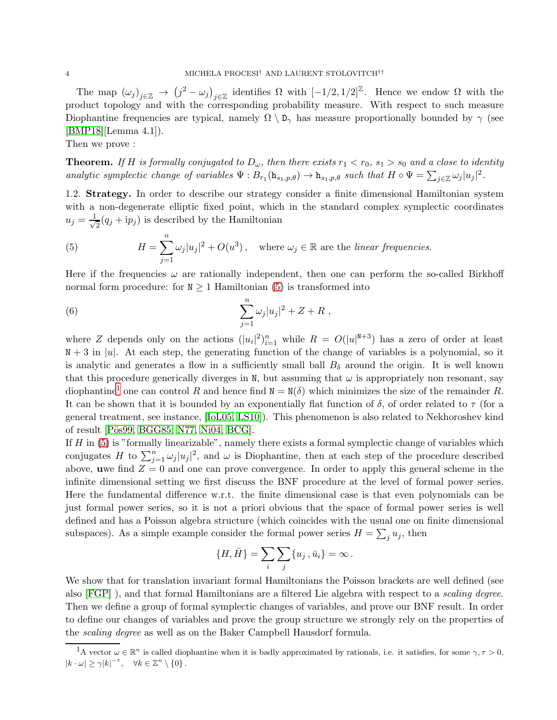The map  $(\omega_j)_{j\in\mathbb{Z}} \to (j^2 - \omega_j)_{j\in\mathbb{Z}}$  identifies  $\Omega$  with  $[-1/2, 1/2]^{\mathbb{Z}}$ . Hence we endow  $\Omega$  with the product topology and with the corresponding probability measure. With respect to such measure Diophantine frequencies are typical, namely  $\Omega \setminus D_{\gamma}$  has measure proportionally bounded by  $\gamma$  (see [\[BMP18\]](#page-25-15)[Lemma 4.1]).

Then we prove :

**Theorem.** If H is formally conjugated to  $D_{\omega}$ , then there exists  $r_1 < r_0$ ,  $s_1 > s_0$  and a close to identity *analytic symplectic change of variables*  $\Psi : B_{r_1}(\mathbf{h}_{s_1,p,\theta}) \to \mathbf{h}_{s_1,p,\theta}$  such that  $H \circ \Psi = \sum_{j \in \mathbb{Z}} \omega_j |u_j|^2$ .

1.2. Strategy. In order to describe our strategy consider a finite dimensional Hamiltonian system with a non-degenerate elliptic fixed point, which in the standard complex symplectic coordinates  $u_j = \frac{1}{\sqrt{2}}$  $\frac{1}{2}(q_j + \mathrm{i}p_j)$  is described by the Hamiltonian

<span id="page-3-0"></span>(5) 
$$
H = \sum_{j=1}^{n} \omega_j |u_j|^2 + O(u^3), \text{ where } \omega_j \in \mathbb{R} \text{ are the linear frequencies.}
$$

Here if the frequencies  $\omega$  are rationally independent, then one can perform the so-called Birkhoff normal form procedure: for  $N \geq 1$  Hamiltonian [\(5\)](#page-3-0) is transformed into

(6) 
$$
\sum_{j=1}^{n} \omega_j |u_j|^2 + Z + R,
$$

where Z depends only on the actions  $(|u_i|^2)_{i=1}^n$  while  $R = O(|u|^{N+3})$  has a zero of order at least  $N + 3$  in |u|. At each step, the generating function of the change of variables is a polynomial, so it is analytic and generates a flow in a sufficiently small ball  $B_{\delta}$  around the origin. It is well known that this procedure generically diverges in N, but assuming that  $\omega$  is appropriately non resonant, say diophantine<sup>[1](#page-3-1)</sup> one can control R and hence find  $N = N(\delta)$  which minimizes the size of the remainder R. It can be shown that it is bounded by an exponentially flat function of  $\delta$ , of order related to  $\tau$  (for a general treatment, see instance, [\[IoL05,](#page-26-17) [LS10\]](#page-26-18)). This phenomenon is also related to Nekhoroshev kind of result [Pös99, [BGG85,](#page-24-10) [N77,](#page-26-20) [Ni04,](#page-26-21) [BCG\]](#page-24-11).

If  $H$  in [\(5\)](#page-3-0) is "formally linearizable", namely there exists a formal symplectic change of variables which conjugates H to  $\sum_{j=1}^n \omega_j |u_j|^2$ , and  $\omega$  is Diophantine, then at each step of the procedure described above, uwe find  $Z = 0$  and one can prove convergence. In order to apply this general scheme in the infinite dimensional setting we first discuss the BNF procedure at the level of formal power series. Here the fundamental difference w.r.t. the finite dimensional case is that even polynomials can be just formal power series, so it is not a priori obvious that the space of formal power series is well defined and has a Poisson algebra structure (which coincides with the usual one on finite dimensional subspaces). As a simple example consider the formal power series  $H = \sum_j u_j$ , then

$$
\{H,\bar{H}\}=\sum_i\sum_j\{u_j\,,\bar{u}_i\}=\infty\,.
$$

We show that for translation invariant formal Hamiltonians the Poisson brackets are well defined (see also [\[FGP\]](#page-25-21) ), and that formal Hamiltonians are a filtered Lie algebra with respect to a *scaling degree*. Then we define a group of formal symplectic changes of variables, and prove our BNF result. In order to define our changes of variables and prove the group structure we strongly rely on the properties of the *scaling degree* as well as on the Baker Campbell Hausdorf formula.

<span id="page-3-1"></span><sup>&</sup>lt;sup>1</sup>A vector  $\omega \in \mathbb{R}^n$  is called diophantine when it is badly approximated by rationals, i.e. it satisfies, for some  $\gamma, \tau > 0$ ,  $|k \cdot \omega| \geq \gamma |k|^{-\tau}, \quad \forall k \in \mathbb{Z}^n \setminus \{0\}.$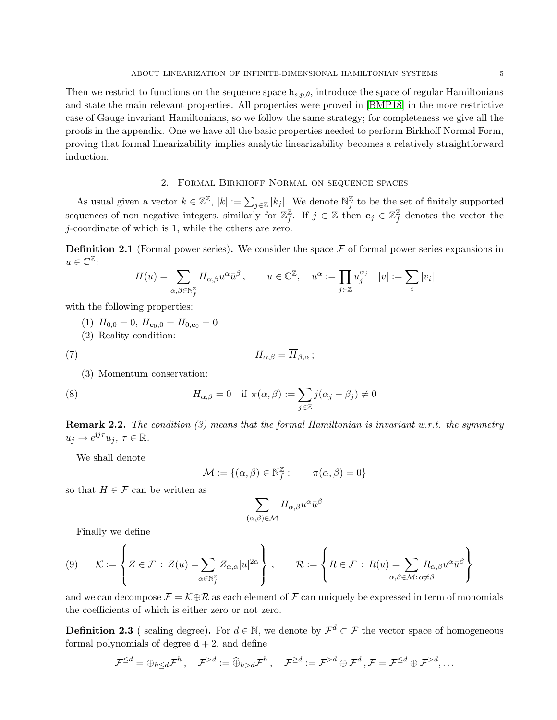Then we restrict to functions on the sequence space  $h_{s,p,\theta}$ , introduce the space of regular Hamiltonians and state the main relevant properties. All properties were proved in [\[BMP18\]](#page-25-15) in the more restrictive case of Gauge invariant Hamiltonians, so we follow the same strategy; for completeness we give all the proofs in the appendix. One we have all the basic properties needed to perform Birkhoff Normal Form, proving that formal linearizability implies analytic linearizability becomes a relatively straightforward induction.

# 2. Formal Birkhoff Normal on sequence spaces

As usual given a vector  $k \in \mathbb{Z}^{\mathbb{Z}}$ ,  $|k| := \sum_{j \in \mathbb{Z}} |k_j|$ . We denote  $\mathbb{N}_{f}^{\mathbb{Z}}$  $\frac{y}{f}$  to be the set of finitely supported sequences of non negative integers, similarly for  $\mathbb{Z}_f^{\mathbb{Z}}$  $\mathbb{Z}_f$ . If  $j \in \mathbb{Z}$  then  $\mathbf{e}_j \in \mathbb{Z}_f^{\mathbb{Z}}$  $\frac{y}{f}$  denotes the vector the j-coordinate of which is 1, while the others are zero.

**Definition 2.1** (Formal power series). We consider the space  $\mathcal F$  of formal power series expansions in  $u \in \mathbb{C}^{\mathbb{Z}}$ :

$$
H(u) = \sum_{\alpha,\beta \in \mathbb{N}_f^{\mathbb{Z}}} H_{\alpha,\beta} u^{\alpha} \bar{u}^{\beta} , \qquad u \in \mathbb{C}^{\mathbb{Z}}, \quad u^{\alpha} := \prod_{j \in \mathbb{Z}} u_j^{\alpha_j} \quad |v| := \sum_i |v_i|
$$

with the following properties:

- (1)  $H_{0,0} = 0$ ,  $H_{\mathbf{e}_0,0} = H_{0,\mathbf{e}_0} = 0$
- (2) Reality condition:

$$
(7) \t\t\t H_{\alpha,\beta} = \overline{H}_{\beta,\alpha} \, ;
$$

(3) Momentum conservation:

(8) 
$$
H_{\alpha,\beta} = 0 \quad \text{if } \pi(\alpha,\beta) := \sum_{j\in\mathbb{Z}} j(\alpha_j - \beta_j) \neq 0
$$

Remark 2.2. *The condition (3) means that the formal Hamiltonian is invariant w.r.t. the symmetry*  $u_j \to e^{ij\tau}u_j, \tau \in \mathbb{R}$ .

We shall denote

<span id="page-4-0"></span>
$$
\mathcal{M} := \{(\alpha, \beta) \in \mathbb{N}_f^{\mathbb{Z}} : \qquad \pi(\alpha, \beta) = 0\}
$$

so that  $H \in \mathcal{F}$  can be written as

$$
\sum_{(\alpha,\beta)\in\mathcal{M}}H_{\alpha,\beta}u^{\alpha}\bar{u}^{\beta}
$$

Finally we define

$$
(9) \qquad \mathcal{K}:=\left\{Z\in\mathcal{F}\,:\,Z(u)=\sum_{\alpha\in\mathbb{N}_{f}^{Z}}Z_{\alpha,\alpha}|u|^{2\alpha}\right\}\,,\qquad \mathcal{R}:=\left\{R\in\mathcal{F}\,:\,R(u)=\sum_{\alpha,\beta\in\mathcal{M}\colon\alpha\neq\beta}R_{\alpha,\beta}u^{\alpha}\bar{u}^{\beta}\right\}
$$

and we can decompose  $\mathcal{F} = \mathcal{K} \oplus \mathcal{R}$  as each element of  $\mathcal{F}$  can uniquely be expressed in term of monomials the coefficients of which is either zero or not zero.

<span id="page-4-1"></span>**Definition 2.3** (scaling degree). For  $d \in \mathbb{N}$ , we denote by  $\mathcal{F}^d \subset \mathcal{F}$  the vector space of homogeneous formal polynomials of degree  $d + 2$ , and define

$$
\mathcal{F}^{\leq d} = \oplus_{h \leq d} \mathcal{F}^h, \quad \mathcal{F}^{> d} := \widehat{\oplus}_{h > d} \mathcal{F}^h, \quad \mathcal{F}^{\geq d} := \mathcal{F}^{> d} \oplus \mathcal{F}^d, \mathcal{F} = \mathcal{F}^{\leq d} \oplus \mathcal{F}^{> d}, \dots
$$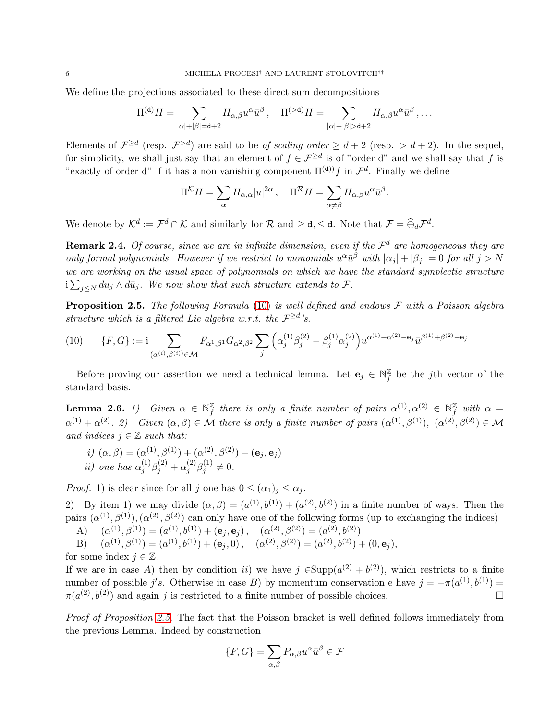We define the projections associated to these direct sum decompositions

$$
\Pi^{(\mathtt{d})}H=\sum_{|\alpha|+|\beta|=\mathtt{d}+2}H_{\alpha,\beta}u^{\alpha}\bar{u}^{\beta}\,,\quad \Pi^{(>\mathtt{d})}H=\sum_{|\alpha|+|\beta|>\mathtt{d}+2}H_{\alpha,\beta}u^{\alpha}\bar{u}^{\beta}\,,\ldots
$$

Elements of  $\mathcal{F}^{\geq d}$  (resp.  $\mathcal{F}^{> d}$ ) are said to be *of scaling order*  $\geq d+2$  (resp.  $> d+2$ ). In the sequel, for simplicity, we shall just say that an element of  $f \in \mathcal{F}^{\ge d}$  is of "order d" and we shall say that f is "exactly of order d" if it has a non vanishing component  $\Pi^{(d)}$  f in  $\mathcal{F}^d$ . Finally we define

$$
\Pi^{\mathcal{K}}H=\sum_{\alpha}H_{\alpha,\alpha}|u|^{2\alpha}\,,\quad \Pi^{\mathcal{R}}H=\sum_{\alpha\neq\beta}H_{\alpha,\beta}u^{\alpha}\bar{u}^{\beta}.
$$

We denote by  $\mathcal{K}^d := \mathcal{F}^d \cap \mathcal{K}$  and similarly for  $\mathcal{R}$  and  $\geq d, \leq d$ . Note that  $\mathcal{F} = \widehat{\oplus}_d \mathcal{F}^d$ .

**Remark 2.4.** Of course, since we are in infinite dimension, even if the  $\mathcal{F}^d$  are homogeneous they are *only formal polynomials. However if we restrict to monomials*  $u^{\alpha} \bar{u}^{\beta}$  with  $|\alpha_j| + |\beta_j| = 0$  *for all*  $j > N$ we are working on the usual space of polynomials on which we have the standard symplectic structure  $i\sum_{j\leq N} du_j \wedge d\bar{u}_j$ . We now show that such structure extends to  $\mathcal{F}$ .

<span id="page-5-1"></span>Proposition 2.5. *The following Formula* [\(10\)](#page-5-0) *is well defined and endows* F *with a Poisson algebra structure which is a filtered Lie algebra w.r.t. the*  $\mathcal{F}^{\geq d}$ 's.

<span id="page-5-0"></span>
$$
(10) \qquad \{F, G\} := \mathbf{i} \sum_{(\alpha^{(i)}, \beta^{(i)}) \in \mathcal{M}} F_{\alpha^1, \beta^1} G_{\alpha^2, \beta^2} \sum_j \left( \alpha_j^{(1)} \beta_j^{(2)} - \beta_j^{(1)} \alpha_j^{(2)} \right) u^{\alpha^{(1)} + \alpha^{(2)} - \mathbf{e}_j} \bar{u}^{\beta^{(1)} + \beta^{(2)} - \mathbf{e}_j}
$$

Before proving our assertion we need a technical lemma. Let  $\mathbf{e}_j \in \mathbb{N}^{\mathbb{Z}}_f$  $\frac{y}{f}$  be the *j*th vector of the standard basis.

Lemma 2.6. *1*) Given  $\alpha \in \mathbb{N}^{\mathbb{Z}}_f$  $\frac{\mathbb{Z}}{f}$  there is only a finite number of pairs  $\alpha^{(1)}, \alpha^{(2)} \in \mathbb{N}^{\mathbb{Z}}_f$  with  $\alpha =$  $\alpha^{(1)} + \alpha^{(2)}$ . 2) Given  $(\alpha, \beta) \in \mathcal{M}$  there is only a finite number of pairs  $(\alpha^{(1)}, \beta^{(1)})$ ,  $(\alpha^{(2)}, \beta^{(2)}) \in \mathcal{M}$ *and indices*  $j \in \mathbb{Z}$  *such that:* 

*i)* 
$$
(\alpha, \beta) = (\alpha^{(1)}, \beta^{(1)}) + (\alpha^{(2)}, \beta^{(2)}) - (\mathbf{e}_j, \mathbf{e}_j)
$$
  
*ii)* one has  $\alpha_j^{(1)} \beta_j^{(2)} + \alpha_j^{(2)} \beta_j^{(1)} \neq 0$ .

*Proof.* 1) is clear since for all j one has  $0 \leq (\alpha_1)_j \leq \alpha_j$ .

2) By item 1) we may divide  $(\alpha, \beta) = (a^{(1)}, b^{(1)}) + (a^{(2)}, b^{(2)})$  in a finite number of ways. Then the pairs  $(\alpha^{(1)}, \beta^{(1)}), (\alpha^{(2)}, \beta^{(2)})$  can only have one of the following forms (up to exchanging the indices)

A)  $(\alpha^{(1)}, \beta^{(1)}) = (\alpha^{(1)}, b^{(1)}) + (\mathbf{e}_j, \mathbf{e}_j), \quad (\alpha^{(2)}, \beta^{(2)}) = (\alpha^{(2)}, b^{(2)})$ 

B)  $(\alpha^{(1)}, \beta^{(1)}) = (a^{(1)}, b^{(1)}) + (\mathbf{e}_j, 0), \quad (\alpha^{(2)}, \beta^{(2)}) = (a^{(2)}, b^{(2)}) + (0, \mathbf{e}_j),$ 

for some index  $j \in \mathbb{Z}$ .

If we are in case A) then by condition ii) we have  $j \in \text{Supp}(a^{(2)} + b^{(2)})$ , which restricts to a finite number of possible j's. Otherwise in case B) by momentum conservation e have  $j = -\pi(a^{(1)}, b^{(1)}) =$  $\pi(a^{(2)}, b^{(2)})$  and again j is restricted to a finite number of possible choices.

*Proof of Proposition [2.5.](#page-5-1)* The fact that the Poisson bracket is well defined follows immediately from the previous Lemma. Indeed by construction

$$
\{F,G\}=\sum_{\alpha,\beta}P_{\alpha,\beta}u^{\alpha}\bar{u}^{\beta}\in\mathcal{F}
$$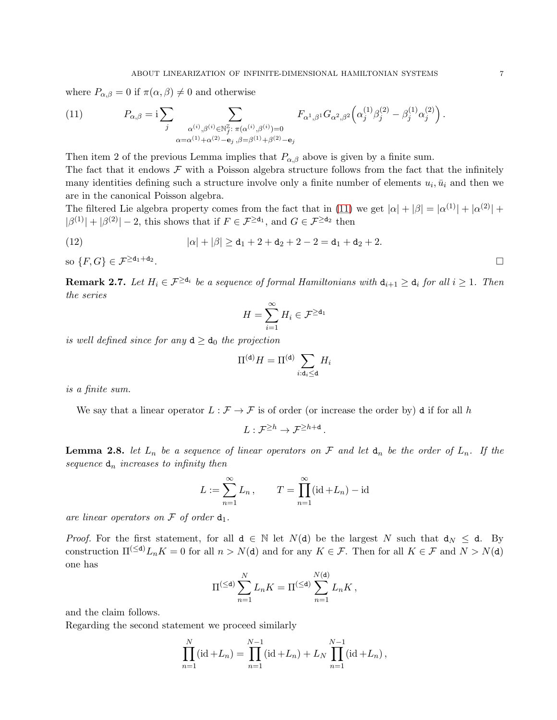where  $P_{\alpha,\beta} = 0$  if  $\pi(\alpha,\beta) \neq 0$  and otherwise

<span id="page-6-0"></span>(11) 
$$
P_{\alpha,\beta} = i \sum_{j} \sum_{\substack{\alpha^{(i)},\beta^{(i)} \in \mathbb{N}_{j}^{\mathbb{Z}} \colon \pi(\alpha^{(i)},\beta^{(i)}) = 0 \\ \alpha = \alpha^{(1)} + \alpha^{(2)} - e_j, \beta = \beta^{(1)} + \beta^{(2)} - e_j}} F_{\alpha^1,\beta^1} G_{\alpha^2,\beta^2} \left( \alpha_j^{(1)} \beta_j^{(2)} - \beta_j^{(1)} \alpha_j^{(2)} \right)
$$

Then item 2 of the previous Lemma implies that  $P_{\alpha,\beta}$  above is given by a finite sum.

The fact that it endows  $\mathcal F$  with a Poisson algebra structure follows from the fact that the infinitely many identities defining such a structure involve only a finite number of elements  $u_i, \bar{u}_i$  and then we are in the canonical Poisson algebra.

The filtered Lie algebra property comes from the fact that in [\(11\)](#page-6-0) we get  $|\alpha| + |\beta| = |\alpha^{(1)}| + |\alpha^{(2)}| +$  $|\beta^{(1)}| + |\beta^{(2)}| - 2$ , this shows that if  $F \in \mathcal{F}^{\ge d_1}$ , and  $G \in \mathcal{F}^{\ge d_2}$  then

(12) 
$$
|\alpha| + |\beta| \ge d_1 + 2 + d_2 + 2 - 2 = d_1 + d_2 + 2.
$$

so  $\{F,G\} \in \mathcal{F}^{\ge d_1+d_2}$ .

<span id="page-6-2"></span>**Remark 2.7.** Let  $H_i \in \mathcal{F}^{\geq d_i}$  be a sequence of formal Hamiltonians with  $d_{i+1} \geq d_i$  for all  $i \geq 1$ . Then *the series*

$$
H=\sum_{i=1}^\infty H_i\in \mathcal{F}^{\geq \mathsf{d}_1}
$$

*is well defined since for any*  $d \geq d_0$  *the projection* 

$$
\Pi^{(\mathsf{d})}H = \Pi^{(\mathsf{d})} \sum_{i:\mathsf{d}_i\leq \mathsf{d}} H_i
$$

*is a finite sum.*

We say that a linear operator  $L : \mathcal{F} \to \mathcal{F}$  is of order (or increase the order by) d if for all h

$$
L: \mathcal{F}^{\geq h} \to \mathcal{F}^{\geq h+\mathtt{d}}\,.
$$

<span id="page-6-1"></span>**Lemma 2.8.** *let*  $L_n$  *be a sequence of linear operators on* F *and let*  $d_n$  *be the order of*  $L_n$ . If the sequence  $d_n$  *increases to infinity then* 

$$
L := \sum_{n=1}^{\infty} L_n, \qquad T = \prod_{n=1}^{\infty} (\mathrm{id} + L_n) - \mathrm{id}
$$

are linear operators on  $\mathcal F$  of order  $d_1$ .

*Proof.* For the first statement, for all  $d \in \mathbb{N}$  let  $N(d)$  be the largest N such that  $d_N \leq d$ . By construction  $\Pi^{(\le d)} L_n K = 0$  for all  $n > N(d)$  and for any  $K \in \mathcal{F}$ . Then for all  $K \in \mathcal{F}$  and  $N > N(d)$ one has

$$
\Pi^{(\leq \mathsf{d})} \sum_{n=1}^N L_n K = \Pi^{(\leq \mathsf{d})} \sum_{n=1}^{N(\mathsf{d})} L_n K,
$$

and the claim follows.

Regarding the second statement we proceed similarly

$$
\prod_{n=1}^{N} (\mathrm{id} + L_n) = \prod_{n=1}^{N-1} (\mathrm{id} + L_n) + L_N \prod_{n=1}^{N-1} (\mathrm{id} + L_n),
$$

.

.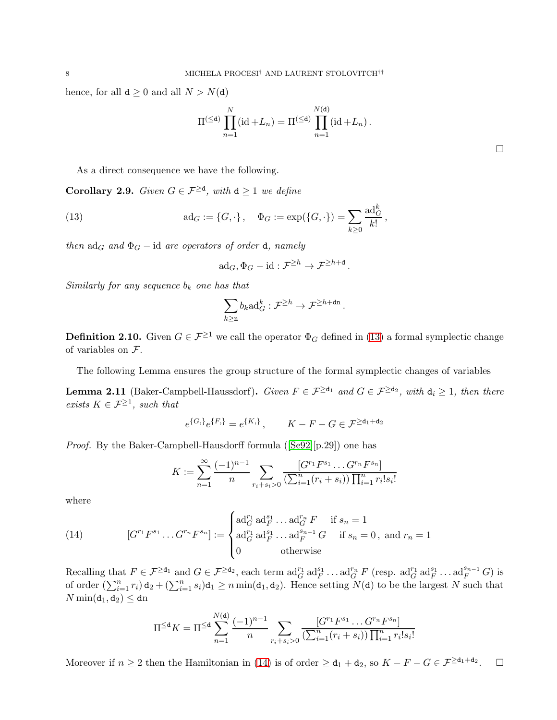hence, for all  $d \geq 0$  and all  $N > N(d)$ 

$$
\Pi^{(\leq d)}\prod_{n=1}^N (\mathrm{id}+L_n)=\Pi^{(\leq d)}\prod_{n=1}^{N(\mathrm{d})} (\mathrm{id}+L_n).
$$

As a direct consequence we have the following.

**Corollary 2.9.** *Given*  $G \in \mathcal{F}^{\geq d}$ , *with*  $d \geq 1$  *we define* 

(13) 
$$
ad_G := \{G, \cdot\}, \quad \Phi_G := \exp(\{G, \cdot\}) = \sum_{k \ge 0} \frac{ad_G^k}{k!},
$$

*then*  $\text{ad}_G$  *and*  $\Phi_G$  − *id are operators of order* **d***, namely* 

<span id="page-7-0"></span>
$$
\mathrm{ad}_G, \Phi_G - \mathrm{id} : \mathcal{F}^{\geq h} \to \mathcal{F}^{\geq h + d}.
$$

*Similarly for any sequence*  $b_k$  *one has that* 

$$
\sum_{k\geq \mathbf{n}} b_k {\rm ad}_G^k: \mathcal{F}^{\geq h} \to \mathcal{F}^{\geq h + \mathbf{dn}}\,.
$$

**Definition 2.10.** Given  $G \in \mathcal{F}^{\geq 1}$  we call the operator  $\Phi_G$  defined in [\(13\)](#page-7-0) a formal symplectic change of variables on F.

The following Lemma ensures the group structure of the formal symplectic changes of variables

<span id="page-7-2"></span>**Lemma 2.11** (Baker-Campbell-Haussdorf). *Given*  $F \in \mathcal{F}^{\ge d_1}$  *and*  $G \in \mathcal{F}^{\ge d_2}$ , *with*  $d_i \ge 1$ , *then there exists*  $K \in \mathcal{F}^{\geq 1}$ *, such that* 

$$
e^{\{G_{i}\}}e^{\{F_{i}\}} = e^{\{K_{i}\}}, \qquad K - F - G \in \mathcal{F}^{\ge d_{1} + d_{2}}
$$

*Proof.* By the Baker-Campbell-Hausdorff formula ([\[Se92\]](#page-26-22)[p.29]) one has

$$
K := \sum_{n=1}^{\infty} \frac{(-1)^{n-1}}{n} \sum_{r_i+s_i>0} \frac{[G^{r_1}F^{s_1} \dots G^{r_n}F^{s_n}]}{(\sum_{i=1}^{n} (r_i+s_i)) \prod_{i=1}^{n} r_i! s_i!}
$$

where

<span id="page-7-1"></span>(14) 
$$
[G^{r_1}F^{s_1} \dots G^{r_n}F^{s_n}] := \begin{cases} \mathrm{ad}_G^{r_1} \, \mathrm{ad}_F^{s_1} \dots \mathrm{ad}_G^{r_n} F & \text{if } s_n = 1 \\ \mathrm{ad}_G^{r_1} \, \mathrm{ad}_F^{s_1} \dots \mathrm{ad}_F^{s_{n-1}} G & \text{if } s_n = 0, \text{ and } r_n = 1 \\ 0 & \text{otherwise} \end{cases}
$$

Recalling that  $F \in \mathcal{F}^{\ge d_1}$  and  $G \in \mathcal{F}^{\ge d_2}$ , each term  $\mathrm{ad}_G^{r_1} \mathrm{ad}_F^{s_1} \dots \mathrm{ad}_G^{r_n} F$  (resp.  $\mathrm{ad}_G^{r_1} \mathrm{ad}_F^{s_1} \dots \mathrm{ad}_F^{s_{n-1}} G$ ) is of order  $(\sum_{i=1}^n r_i) d_2 + (\sum_{i=1}^n s_i) d_1 \ge n \min(d_1, d_2)$ . Hence setting  $N(d)$  to be the largest N such that  $N \min(d_1, d_2) \leq d$ n

$$
\Pi^{\le d} K = \Pi^{\le d} \sum_{n=1}^{N(d)} \frac{(-1)^{n-1}}{n} \sum_{r_i + s_i > 0} \frac{[G^{r_1} F^{s_1} \dots G^{r_n} F^{s_n}]}{(\sum_{i=1}^n (r_i + s_i)) \prod_{i=1}^n r_i! s_i!}
$$

Moreover if  $n \geq 2$  then the Hamiltonian in [\(14\)](#page-7-1) is of order  $\geq d_1 + d_2$ , so  $K - F - G \in \mathcal{F}^{\geq d_1 + d_2}$ .  $\Box$ 

 $\Box$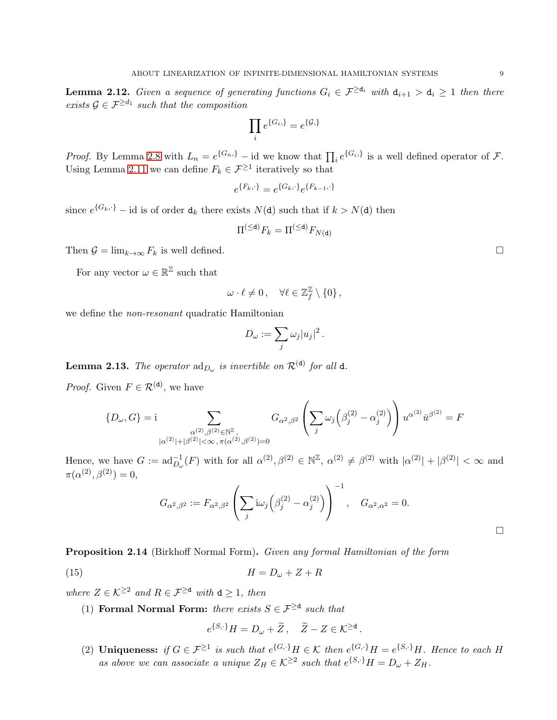<span id="page-8-1"></span>**Lemma 2.12.** *Given a sequence of generating functions*  $G_i \in \mathcal{F}^{\geq d_i}$  *with*  $d_{i+1} > d_i \geq 1$  *then there exists*  $G \in \mathcal{F}^{\geq d_1}$  *such that the composition* 

$$
\prod_i e^{\{G_i\}} = e^{\{\mathcal{G}_i\}}
$$

*Proof.* By Lemma [2.8](#page-6-1) with  $L_n = e^{\{G_n\}} - id$  we know that  $\prod_i e^{\{G_i\}}$  is a well defined operator of  $\mathcal{F}$ . Using Lemma [2.11](#page-7-2) we can define  $F_k \in \mathcal{F}^{\geq 1}$  iteratively so that

 $e^{\{F_k,\cdot\}} = e^{\{G_k,\cdot\}}e^{\{F_{k-1},\cdot\}}$ 

since  $e^{\{G_k, \cdot\}}$  – id is of order  $d_k$  there exists  $N(d)$  such that if  $k > N(d)$  then

$$
\Pi^{(\leq \mathbf{d})} F_k = \Pi^{(\leq \mathbf{d})} F_{N(\mathbf{d})}
$$

Then  $G = \lim_{k \to \infty} F_k$  is well defined.

For any vector  $\omega \in \mathbb{R}^{\mathbb{Z}}$  such that

$$
\omega \cdot \ell \neq 0\,, \quad \forall \ell \in \mathbb{Z}_f^{\mathbb{Z}} \setminus \{0\}\,,
$$

we define the *non-resonant* quadratic Hamiltonian

$$
D_{\omega}:=\sum_j \omega_j |u_j|^2
$$

.

<span id="page-8-0"></span>**Lemma 2.13.** The operator  $\mathrm{ad}_{D_{\omega}}$  is invertible on  $\mathcal{R}^{(\mathbf{d})}$  for all  $\mathbf{d}$ .

*Proof.* Given  $F \in \mathcal{R}^{(\mathsf{d})}$ , we have

$$
\{D_{\omega},G\}=\mathrm{i}\sum_{\substack{\alpha^{(2)},\beta^{(2)}\in\mathbb{N}^{\mathbb{Z}},\\|\alpha^{(2)}|+|\beta^{(2)}|<\infty\,,\,\pi(\alpha^{(2)},\beta^{(2)})=0}}G_{\alpha^2,\beta^2}\left(\sum_j\omega_j\Big(\beta_j^{(2)}-\alpha_j^{(2)}\Big)\right)u^{\alpha^{(2)}}\bar{u}^{\beta^{(2)}}=F
$$

Hence, we have  $G := \mathrm{ad}_{D_{\omega}}^{-1}(F)$  with for all  $\alpha^{(2)}$ ,  $\beta^{(2)} \in \mathbb{N}^{\mathbb{Z}}$ ,  $\alpha^{(2)} \neq \beta^{(2)}$  with  $|\alpha^{(2)}| + |\beta^{(2)}| < \infty$  and  $\pi(\alpha^{(2)},\beta^{(2)})=0,$ 

$$
G_{\alpha^2,\beta^2}:=F_{\alpha^2,\beta^2}\left(\sum_j \mathrm{i}\omega_j\Big(\beta_j^{(2)}-\alpha_j^{(2)}\Big)\right)^{-1},\quad G_{\alpha^2,\alpha^2}=0.
$$

<span id="page-8-3"></span>Proposition 2.14 (Birkhoff Normal Form). *Given any formal Hamiltonian of the form*

$$
(15) \t\t\t H = D_{\omega} + Z + R
$$

*where*  $Z \in \mathcal{K}^{\geq 2}$  *and*  $R \in \mathcal{F}^{\geq d}$  *with*  $d \geq 1$ *, then* 

(1) **Formal Normal Form:** *there exists*  $S \in \mathcal{F}^{\geq d}$  *such that* 

<span id="page-8-2"></span>
$$
e^{\{S,\cdot\}}H=D_{\omega}+\widetilde{Z},\quad \widetilde{Z}-Z\in\mathcal{K}^{\geq d}.
$$

(2) **Uniqueness:** *if*  $G \in \mathcal{F}^{\geq 1}$  *is such that*  $e^{\{G,\cdot\}}H \in \mathcal{K}$  *then*  $e^{\{G,\cdot\}}H = e^{\{S,\cdot\}}H$ *. Hence to each* H as above we can associate a unique  $Z_H \in \mathcal{K}^{\geq 2}$  such that  $e^{\{S,\cdot\}}H = D_\omega + Z_H$ .

 $\Box$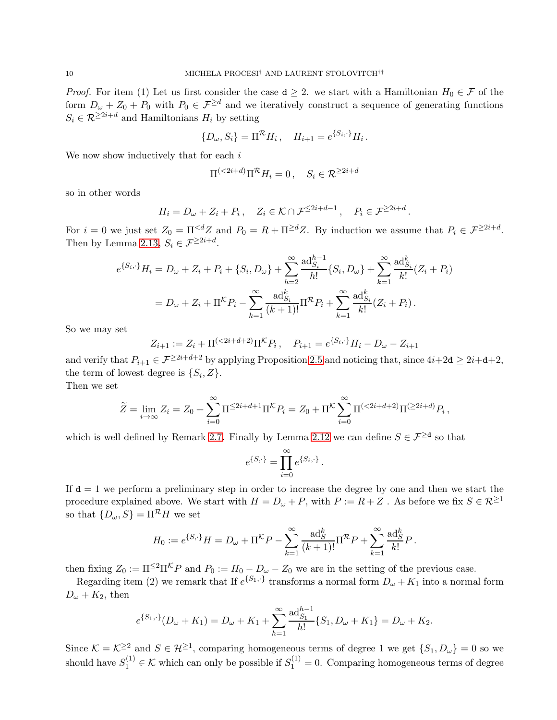*Proof.* For item (1) Let us first consider the case  $d \geq 2$ . we start with a Hamiltonian  $H_0 \in \mathcal{F}$  of the form  $D_{\omega} + Z_0 + P_0$  with  $P_0 \in \mathcal{F}^{\geq d}$  and we iteratively construct a sequence of generating functions  $S_i \in \mathcal{R}^{\geq 2i+d}$  and Hamiltonians  $H_i$  by setting

$$
\{D_{\omega}, S_i\} = \Pi^{\mathcal{R}} H_i, \quad H_{i+1} = e^{\{S_i, \cdot\}} H_i.
$$

We now show inductively that for each  $i$ 

$$
\Pi^{(<2i+d)}\Pi^{\mathcal{R}}H_i=0\,,\quad S_i\in\mathcal{R}^{\geq 2i+d}
$$

so in other words

$$
H_i = D_{\omega} + Z_i + P_i, \quad Z_i \in \mathcal{K} \cap \mathcal{F}^{\leq 2i+d-1}, \quad P_i \in \mathcal{F}^{\geq 2i+d}.
$$

For  $i = 0$  we just set  $Z_0 = \prod_{i=1}^{d} Z_i$  and  $P_0 = R + \prod_{i=1}^{d} Z_i$ . By induction we assume that  $P_i \in \mathcal{F}^{\geq 2i+d}$ . Then by Lemma [2.13,](#page-8-0)  $S_i \in \mathcal{F}^{\geq 2i+d}$ .

$$
e^{\{S_i, \cdot\}}H_i = D_{\omega} + Z_i + P_i + \{S_i, D_{\omega}\} + \sum_{h=2}^{\infty} \frac{\text{ad}_{S_i}^{h-1}}{h!} \{S_i, D_{\omega}\} + \sum_{k=1}^{\infty} \frac{\text{ad}_{S_i}^k}{k!} (Z_i + P_i)
$$
  
=  $D_{\omega} + Z_i + \Pi^{\mathcal{K}}P_i - \sum_{k=1}^{\infty} \frac{\text{ad}_{S_i}^k}{(k+1)!} \Pi^{\mathcal{R}}P_i + \sum_{k=1}^{\infty} \frac{\text{ad}_{S_i}^k}{k!} (Z_i + P_i).$ 

So we may set

$$
Z_{i+1} := Z_i + \Pi^{(2i+d+2)} \Pi^K P_i, \quad P_{i+1} = e^{\{S_i, \cdot\}} H_i - D_\omega - Z_{i+1}
$$

and verify that  $P_{i+1} \in \mathcal{F}^{\geq 2i+d+2}$  by applying Proposition [2.5](#page-5-1) and noticing that, since  $4i+2d \geq 2i+d+2$ , the term of lowest degree is  $\{S_i, Z\}$ .

Then we set

$$
\widetilde{Z} = \lim_{i \to \infty} Z_i = Z_0 + \sum_{i=0}^{\infty} \Pi^{\leq 2i + d + 1} \Pi^K P_i = Z_0 + \Pi^K \sum_{i=0}^{\infty} \Pi^{(< 2i + d + 2)} \Pi^{(\geq 2i + d)} P_i,
$$

which is well defined by Remark [2.7.](#page-6-2) Finally by Lemma [2.12](#page-8-1) we can define  $S \in \mathcal{F}^{\geq d}$  so that

$$
e^{\{S,\cdot\}} = \prod_{i=0}^{\infty} e^{\{S_i,\cdot\}}.
$$

If  $d = 1$  we perform a preliminary step in order to increase the degree by one and then we start the procedure explained above. We start with  $H = D_{\omega} + P$ , with  $P := R + Z$ . As before we fix  $S \in \mathcal{R}^{\geq 1}$ so that  $\{D_{\omega}, S\} = \Pi^{\mathcal{R}} H$  we set

$$
H_0 := e^{\{S,\cdot\}}H = D_\omega + \Pi^K P - \sum_{k=1}^\infty \frac{\text{ad}_S^k}{(k+1)!} \Pi^{\mathcal{R}} P + \sum_{k=1}^\infty \frac{\text{ad}_S^k}{k!} P.
$$

then fixing  $Z_0 := \Pi^{\leq 2} \Pi^{\mathcal{K}} P$  and  $P_0 := H_0 - D_\omega - Z_0$  we are in the setting of the previous case.

Regarding item (2) we remark that If  $e^{\{S_1,\cdot\}}$  transforms a normal form  $D_{\omega} + K_1$  into a normal form  $D_{\omega} + K_2$ , then

$$
e^{\{S_1,\cdot\}}(D_{\omega}+K_1)=D_{\omega}+K_1+\sum_{h=1}^{\infty}\frac{\mathrm{ad}_{S_1}^{h-1}}{h!}\{S_1,D_{\omega}+K_1\}=D_{\omega}+K_2.
$$

Since  $\mathcal{K} = \mathcal{K}^{\geq 2}$  and  $S \in \mathcal{H}^{\geq 1}$ , comparing homogeneous terms of degree 1 we get  $\{S_1, D_\omega\} = 0$  so we should have  $S_1^{(1)} \in \mathcal{K}$  which can only be possible if  $S_1^{(1)} = 0$ . Comparing homogeneous terms of degree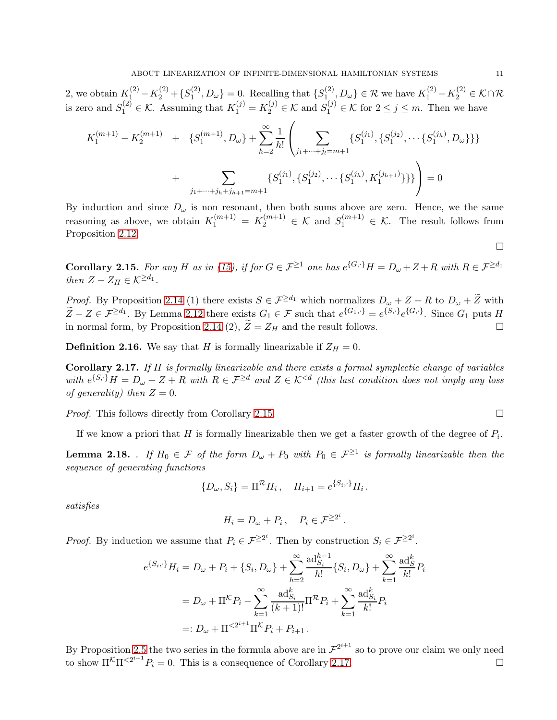2, we obtain  $K_1^{(2)} - K_2^{(2)} + \{S_1^{(2)}\}$  $\{S_1^{(2)}, D_{\omega}\} = 0.$  Recalling that  $\{S_1^{(2)}\}$  $\{A_{1}^{(2)}, D_{\omega}\}\in\mathcal{R}$  we have  $K_1^{(2)} - K_2^{(2)} \in \mathcal{K} \cap \mathcal{R}$ is zero and  $S_1^{(2)} \in \mathcal{K}$ . Assuming that  $K_1^{(j)} = K_2^{(j)} \in \mathcal{K}$  and  $S_1^{(j)} \in \mathcal{K}$  for  $2 \le j \le m$ . Then we have

$$
K_1^{(m+1)} - K_2^{(m+1)} + \{S_1^{(m+1)}, D_\omega\} + \sum_{h=2}^{\infty} \frac{1}{h!} \left( \sum_{j_1 + \dots + j_l = m+1} \{S_1^{(j_1)}, \{S_1^{(j_2)}, \dots \{S_1^{(j_h)}, D_\omega\}\}\}\n+ \sum_{j_1 + \dots + j_h + j_{h+1} = m+1} \{S_1^{(j_1)}, \{S_1^{(j_2)}, \dots \{S_1^{(j_h)}, K_1^{(j_{h+1})}\}\}\}\right) = 0
$$

By induction and since  $D_{\omega}$  is non resonant, then both sums above are zero. Hence, we the same reasoning as above, we obtain  $K_1^{(m+1)} = K_2^{(m+1)} \in \mathcal{K}$  and  $S_1^{(m+1)} \in \mathcal{K}$ . The result follows from Proposition [2.12.](#page-8-1)

<span id="page-10-0"></span>**Corollary 2.15.** *For any* H *as in* [\(15\)](#page-8-2), if for  $G \in \mathcal{F}^{\geq 1}$  one has  $e^{\{G,\cdot\}}H = D_{\omega} + Z + R$  with  $R \in \mathcal{F}^{\geq d_1}$ *then*  $Z - Z_H \in \mathcal{K}^{\geq d_1}$ .

*Proof.* By Proposition [2.14](#page-8-3) (1) there exists  $S \in \mathcal{F}^{\ge d_1}$  which normalizes  $D_\omega + Z + R$  to  $D_\omega + \widetilde{Z}$  with  $\widetilde{Z} - Z \in \mathcal{F}^{\geq d_1}$ . By Lemma [2.12](#page-8-1) there exists  $G_1 \in \mathcal{F}$  such that  $e^{\{G_1, \cdot\}} = e^{\{S, \cdot\}} e^{\{G, \cdot\}}$ . Since  $G_1$  puts H in normal form, by Proposition [2.14](#page-8-3) (2),  $\widetilde{Z} = Z_H$  and the result follows.

**Definition 2.16.** We say that H is formally linearizable if  $Z_H = 0$ .

<span id="page-10-1"></span>Corollary 2.17. *If* H *is formally linearizable and there exists a formal symplectic change of variables*  $with e^{\{S,\cdot\}}H = D_{\omega} + Z + R$  with  $R \in \mathcal{F}^{\geq d}$  and  $Z \in \mathcal{K}^{< d}$  (this last condition does not imply any loss *of generality)* then  $Z = 0$ .

*Proof.* This follows directly from Corollary [2.15.](#page-10-0) □

If we know a priori that H is formally linearizable then we get a faster growth of the degree of  $P_i$ .

<span id="page-10-2"></span>**Lemma 2.18.** *. If*  $H_0 \in \mathcal{F}$  *of the form*  $D_\omega + P_0$  *with*  $P_0 \in \mathcal{F}^{\geq 1}$  *is formally linearizable then the sequence of generating functions*

$$
\{D_{\omega}, S_i\} = \Pi^{\mathcal{R}} H_i, \quad H_{i+1} = e^{\{S_i, \cdot\}} H_i.
$$

*satisfies*

$$
H_i = D_\omega + P_i \,, \quad P_i \in \mathcal{F}^{\geq 2^i} \,.
$$

*Proof.* By induction we assume that  $P_i \in \mathcal{F}^{\geq 2^i}$ . Then by construction  $S_i \in \mathcal{F}^{\geq 2^i}$ .

$$
e^{\{S_i, \cdot\}}H_i = D_{\omega} + P_i + \{S_i, D_{\omega}\} + \sum_{h=2}^{\infty} \frac{\text{ad}_{S_i}^{h-1}}{h!} \{S_i, D_{\omega}\} + \sum_{k=1}^{\infty} \frac{\text{ad}_{S}^{k}}{k!} P_i
$$
  
=  $D_{\omega} + \Pi^k P_i - \sum_{k=1}^{\infty} \frac{\text{ad}_{S_i}^{k}}{(k+1)!} \Pi^k P_i + \sum_{k=1}^{\infty} \frac{\text{ad}_{S_i}^{k}}{k!} P_i$   
=:  $D_{\omega} + \Pi^{<2^{i+1}} \Pi^k P_i + P_{i+1}$ .

By Proposition [2.5](#page-5-1) the two series in the formula above are in  $\mathcal{F}^{2^{i+1}}$  so to prove our claim we only need to show  $\Pi^{\mathcal{K}}\Pi^{<2^{i+1}}P_i = 0$ . This is a consequence of Corollary [2.17.](#page-10-1)

 $\Box$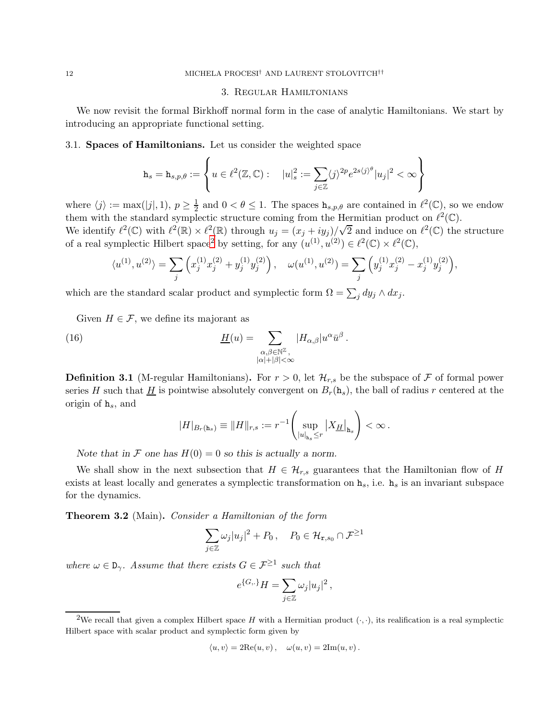#### 3. Regular Hamiltonians

We now revisit the formal Birkhoff normal form in the case of analytic Hamiltonians. We start by introducing an appropriate functional setting.

3.1. Spaces of Hamiltonians. Let us consider the weighted space

$$
\mathbf{h}_s = \mathbf{h}_{s,p,\theta} := \left\{ u \in \ell^2(\mathbb{Z},\mathbb{C}): \quad |u|_s^2 := \sum_{j \in \mathbb{Z}} \langle j \rangle^{2p} e^{2s \langle j \rangle^{\theta}} |u_j|^2 < \infty \right\}
$$

where  $\langle j \rangle := \max(|j|, 1), p \geq \frac{1}{2}$  $\frac{1}{2}$  and  $0 < \theta \leq 1$ . The spaces  $h_{s,p,\theta}$  are contained in  $\ell^2(\mathbb{C})$ , so we endow them with the standard symplectic structure coming from the Hermitian product on  $\ell^2(\mathbb{C})$ . We identify  $\ell^2(\mathbb{C})$  with  $\ell^2(\mathbb{R}) \times \ell^2(\mathbb{R})$  through  $u_j = (x_j + iy_j)/\sqrt{2}$  and induce on  $\ell^2(\mathbb{C})$  the structure of a real symplectic Hilbert space<sup>[2](#page-11-0)</sup> by setting, for any  $(u^{(1)}, u^{(2)}) \in \ell^2(\mathbb{C}) \times \ell^2(\mathbb{C}),$ 

$$
\langle u^{(1)}, u^{(2)} \rangle = \sum_j \left( x_j^{(1)} x_j^{(2)} + y_j^{(1)} y_j^{(2)} \right), \quad \omega(u^{(1)}, u^{(2)}) = \sum_j \left( y_j^{(1)} x_j^{(2)} - x_j^{(1)} y_j^{(2)} \right),
$$

which are the standard scalar product and symplectic form  $\Omega = \sum_j dy_j \wedge dx_j$ .

Given  $H \in \mathcal{F}$ , we define its majorant as

(16) 
$$
\underline{H}(u) = \sum_{\substack{\alpha, \beta \in \mathbb{N}^{\mathbb{Z}} \\ |\alpha| + |\beta| < \infty}} |H_{\alpha,\beta}| u^{\alpha} \bar{u}^{\beta}.
$$

**Definition 3.1** (M-regular Hamiltonians). For  $r > 0$ , let  $\mathcal{H}_{r,s}$  be the subspace of  $\mathcal F$  of formal power series H such that  $\underline{H}$  is pointwise absolutely convergent on  $B_r(\mathbf{h}_s)$ , the ball of radius r centered at the origin of  $h_s$ , and

$$
|H|_{B_r(\mathbf{h}_s)} \equiv ||H||_{r,s} := r^{-1} \left( \sup_{|u|_{\mathbf{h}_s} \leq r} |X_{\underline{H}}|_{\mathbf{h}_s} \right) < \infty.
$$

Note that in F one has  $H(0) = 0$  so this is actually a norm.

We shall show in the next subsection that  $H \in \mathcal{H}_{r,s}$  guarantees that the Hamiltonian flow of H exists at least locally and generates a symplectic transformation on  $h_s$ , i.e.  $h_s$  is an invariant subspace for the dynamics.

Theorem 3.2 (Main). *Consider a Hamiltonian of the form*

$$
\sum_{j\in\mathbb{Z}}\omega_j|u_j|^2+P_0\,,\quad P_0\in\mathcal{H}_{\mathbf{r},s_0}\cap\mathcal{F}^{\geq 1}
$$

*where*  $\omega \in D_{\gamma}$ . Assume that there exists  $G \in \mathcal{F}^{\geq 1}$  such that

$$
e^{\{G,.\}}H=\sum_{j\in\mathbb{Z}}\omega_j|u_j|^2\,,
$$

$$
\langle u, v \rangle = 2\text{Re}(u, v), \quad \omega(u, v) = 2\text{Im}(u, v).
$$

<span id="page-11-0"></span><sup>&</sup>lt;sup>2</sup>We recall that given a complex Hilbert space H with a Hermitian product  $(\cdot, \cdot)$ , its realification is a real symplectic Hilbert space with scalar product and symplectic form given by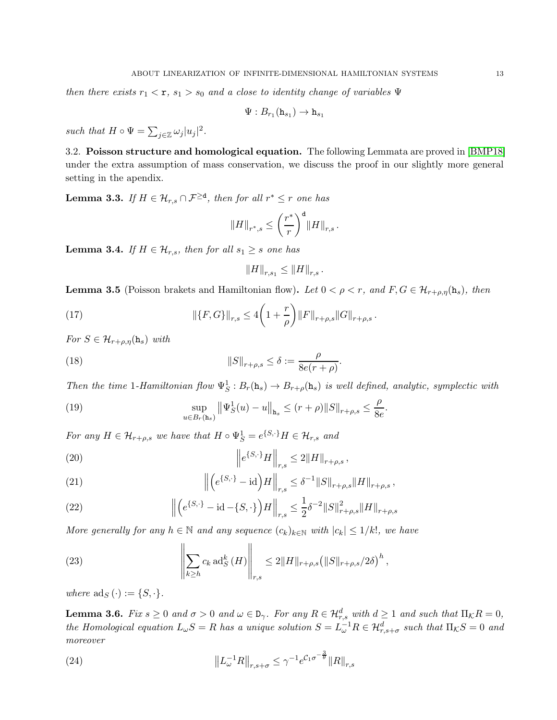*then there exists*  $r_1 < r$ ,  $s_1 > s_0$  *and a close to identity change of variables*  $\Psi$ 

$$
\Psi:B_{r_1}(\mathtt{h}_{s_1})\to \mathtt{h}_{s_1}
$$

*such that*  $H \circ \Psi = \sum_{j \in \mathbb{Z}} \omega_j |u_j|^2$ .

3.2. Poisson structure and homological equation. The following Lemmata are proved in [\[BMP18\]](#page-25-15) under the extra assumption of mass conservation, we discuss the proof in our slightly more general setting in the apendix.

<span id="page-12-3"></span>**Lemma 3.3.** *If*  $H \in \mathcal{H}_{r,s} \cap \mathcal{F}^{\geq d}$ , then for all  $r^* \leq r$  one has

$$
\|H\|_{r^*,s}\leq \left(\frac{r^*}{r}\right)^{\mathtt{d}}\|H\|_{r,s}\,.
$$

<span id="page-12-4"></span>**Lemma 3.4.** *If*  $H \in \mathcal{H}_{r,s}$ *, then for all*  $s_1 \geq s$  *one has* 

<span id="page-12-10"></span><span id="page-12-9"></span>
$$
||H||_{r,s_1} \leq ||H||_{r,s}.
$$

<span id="page-12-1"></span>**Lemma 3.5** (Poisson brakets and Hamiltonian flow). Let  $0 < \rho < r$ , and  $F, G \in \mathcal{H}_{r+\rho,\eta}(\mathbf{h}_s)$ , then

(17) 
$$
\|\{F,G\}\|_{r,s} \le 4\bigg(1+\frac{r}{\rho}\bigg)\|F\|_{r+\rho,s}\|G\|_{r+\rho,s}.
$$

*For*  $S \in \mathcal{H}_{r+\rho,\eta}(\mathbf{h}_s)$  *with* 

(18) 
$$
||S||_{r+\rho,s} \leq \delta := \frac{\rho}{8e(r+\rho)}
$$

*Then the time* 1*-Hamiltonian flow*  $\Psi_S^1$ :  $B_r(\mathbf{h}_s) \to B_{r+\rho}(\mathbf{h}_s)$  *is well defined, analytic, symplectic with* 

.

<span id="page-12-2"></span>(19) 
$$
\sup_{u \in B_r(\mathbf{h}_s)} ||\Psi_S^1(u) - u||_{\mathbf{h}_s} \le (r + \rho) ||S||_{r + \rho, s} \le \frac{\rho}{8e}.
$$

*For any*  $H \in \mathcal{H}_{r+\rho,s}$  *we have that*  $H \circ \Psi_S^1 = e^{\{S,\cdot\}} H \in \mathcal{H}_{r,s}$  *and* 

<span id="page-12-5"></span>(20) 
$$
\left\|e^{\{S,\cdot\}}H\right\|_{r,s} \leq 2\|H\|_{r+\rho,s},
$$

<span id="page-12-6"></span>(21) 
$$
\left\| \left( e^{\{S,\cdot\}} - id \right) H \right\|_{r,s} \leq \delta^{-1} \| S \|_{r+\rho,s} \| H \|_{r+\rho,s},
$$

<span id="page-12-7"></span>(22) 
$$
\left\| \left( e^{\{S,\cdot\}} - \mathrm{id} - \{S,\cdot\} \right) H \right\|_{r,s} \leq \frac{1}{2} \delta^{-2} \| S \|_{r+\rho,s}^2 \| H \|_{r+\rho,s}
$$

*More generally for any*  $h \in \mathbb{N}$  *and any sequence*  $(c_k)_{k \in \mathbb{N}}$  *with*  $|c_k| \leq 1/k!$ *, we have* 

<span id="page-12-8"></span>(23) 
$$
\left\| \sum_{k \geq h} c_k \operatorname{ad}_S^k(H) \right\|_{r,s} \leq 2 \|H\|_{r+\rho,s} \left( \|S\|_{r+\rho,s}/2\delta \right)^h,
$$

*where*  $\text{ad}_S(\cdot) := \{S, \cdot\}.$ 

<span id="page-12-0"></span>**Lemma 3.6.** *Fix*  $s \geq 0$  *and*  $\sigma > 0$  *and*  $\omega \in D_{\gamma}$ *. For any*  $R \in \mathcal{H}_{r,s}^d$  *with*  $d \geq 1$  *and such that*  $\Pi_{\mathcal{K}}R = 0$ *, the Homological equation*  $L_{\omega}S = R$  *has a unique solution*  $S = L_{\omega}^{-1}R \in \mathcal{H}_{r,s+\sigma}^d$  *such that*  $\Pi_{\mathcal{K}}S = 0$  *and moreover*

<span id="page-12-11"></span>(24) 
$$
||L_{\omega}^{-1}R||_{r,s+\sigma} \leq \gamma^{-1}e^{\mathcal{C}_1\sigma^{-\frac{3}{\theta}}}||R||_{r,s}
$$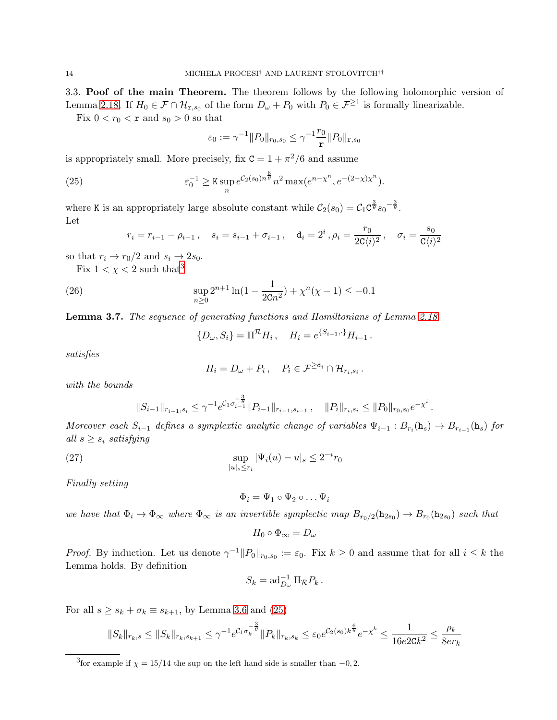3.3. Poof of the main Theorem. The theorem follows by the following holomorphic version of Lemma [2.18.](#page-10-2) If  $H_0 \in \mathcal{F} \cap \mathcal{H}_{r,s_0}$  of the form  $D_\omega + P_0$  with  $P_0 \in \mathcal{F}^{\geq 1}$  is formally linearizable.

Fix  $0 < r_0 < r$  and  $s_0 > 0$  so that

<span id="page-13-1"></span>
$$
\varepsilon_0 := \gamma^{-1} ||P_0||_{r_0,s_0} \le \gamma^{-1} \frac{r_0}{r} ||P_0||_{r,s_0}
$$

is appropriately small. More precisely, fix  $C = 1 + \pi^2/6$  and assume

(25) 
$$
\varepsilon_0^{-1} \geq K \sup_n e^{\mathcal{C}_2(s_0) n^{\frac{6}{\theta}}} n^2 \max(e^{n - \chi^n}, e^{-(2 - \chi)\chi^n}).
$$

where K is an appropriately large absolute constant while  $C_2(s_0) = C_1 C^{\frac{3}{\theta}} s_0^{-\frac{3}{\theta}}$ . Let

$$
r_i = r_{i-1} - \rho_{i-1}, \quad s_i = s_{i-1} + \sigma_{i-1}, \quad d_i = 2^i, \rho_i = \frac{r_0}{2C \langle i \rangle^2}, \quad \sigma_i = \frac{s_0}{C \langle i \rangle^2}
$$

so that  $r_i \rightarrow r_0/2$  and  $s_i \rightarrow 2s_0$ .

Fix  $1 < \chi < 2$  such that<sup>[3](#page-13-0)</sup>

(26) 
$$
\sup_{n\geq 0} 2^{n+1} \ln(1 - \frac{1}{2Cn^2}) + \chi^n(\chi - 1) \leq -0.1
$$

Lemma 3.7. *The sequence of generating functions and Hamiltonians of Lemma [2.18.](#page-10-2)*

<span id="page-13-2"></span> $\{D_{\omega}, S_i\} = \Pi^{\mathcal{R}} H_i, \quad H_i = e^{\{S_{i-1}, \cdot\}} H_{i-1}.$ 

*satisfies*

$$
H_i=D_\omega+P_i\,,\quad P_i\in\mathcal{F}^{\geq\mathsf{d}_i}\cap\mathcal{H}_{r_i,s_i}\,.
$$

*with the bounds*

$$
||S_{i-1}||_{r_{i-1},s_i} \leq \gamma^{-1} e^{\mathcal{C}_1 \sigma_{i-1}^{-\frac{3}{\theta}}} ||P_{i-1}||_{r_{i-1},s_{i-1}}, \quad ||P_i||_{r_i,s_i} \leq ||P_0||_{r_0,s_0} e^{-\chi^i}.
$$

*Moreover each*  $S_{i-1}$  *defines a symplextic analytic change of variables*  $\Psi_{i-1} : B_{r_i}(\mathbf{h}_s) \to B_{r_{i-1}}(\mathbf{h}_s)$  *for all*  $s \geq s_i$  *satisfying* 

(27) 
$$
\sup_{|u|_{s} \le r_{i}} |\Psi_{i}(u) - u|_{s} \le 2^{-i} r_{0}
$$

*Finally setting*

<span id="page-13-3"></span>
$$
\Phi_i = \Psi_1 \circ \Psi_2 \circ \dots \Psi_i
$$

*we have that*  $\Phi_i \to \Phi_\infty$  *where*  $\Phi_\infty$  *is an invertible symplectic map*  $B_{r_0/2}(\mathbf{h}_{2s_0}) \to B_{r_0}(\mathbf{h}_{2s_0})$  *such that* 

$$
H_0\circ\Phi_\infty=D_\omega
$$

*Proof.* By induction. Let us denote  $\gamma^{-1} ||P_0||_{r_0,s_0} := \varepsilon_0$ . Fix  $k \ge 0$  and assume that for all  $i \le k$  the Lemma holds. By definition

$$
S_k = \operatorname{ad}_{D_{\omega}}^{-1} \Pi_{\mathcal{R}} P_k.
$$

For all  $s \geq s_k + \sigma_k \equiv s_{k+1}$ , by Lemma [3.6](#page-12-0) and [\(25\)](#page-13-1)

$$
||S_k||_{r_k,s} \leq ||S_k||_{r_k,s_{k+1}} \leq \gamma^{-1} e^{\mathcal{C}_1 \sigma_k^{-\frac{3}{\theta}}} ||P_k||_{r_k,s_k} \leq \varepsilon_0 e^{\mathcal{C}_2(s_0)k^{\frac{\theta}{\theta}}} e^{-\chi^k} \leq \frac{1}{16e2\mathsf{C} k^2} \leq \frac{\rho_k}{8er_k}
$$

<span id="page-13-0"></span><sup>&</sup>lt;sup>3</sup> for example if  $\chi = 15/14$  the sup on the left hand side is smaller than  $-0$ , 2.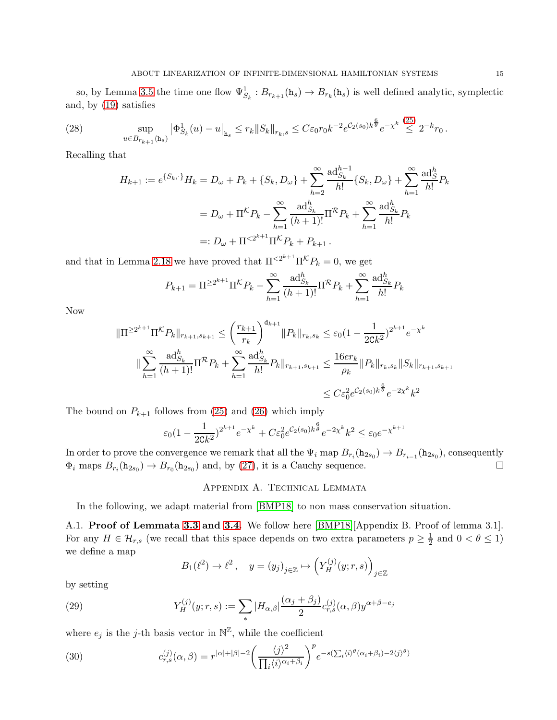so, by Lemma [3.5](#page-12-1) the time one flow  $\Psi_{S_k}^1 : B_{r_{k+1}}(\mathbf{h}_s) \to B_{r_k}(\mathbf{h}_s)$  is well defined analytic, symplectic and, by [\(19\)](#page-12-2) satisfies

(28) 
$$
\sup_{u \in B_{r_{k+1}}(\mathbf{h}_s)} \left| \Phi_{S_k}^1(u) - u \right|_{\mathbf{h}_s} \leq r_k \| S_k \|_{r_k, s} \leq C \varepsilon_0 r_0 k^{-2} e^{C_2(s_0) k^{\frac{6}{\theta}}} e^{-\chi^k} \stackrel{(25)}{\leq} 2^{-k} r_0.
$$

Recalling that

$$
H_{k+1} := e^{\{S_k, \cdot\}} H_k = D_\omega + P_k + \{S_k, D_\omega\} + \sum_{h=2}^{\infty} \frac{\text{ad}_{S_k}^{h-1}}{h!} \{S_k, D_\omega\} + \sum_{h=1}^{\infty} \frac{\text{ad}_{S}^h}{h!} P_k
$$
  
=  $D_\omega + \Pi^K P_k - \sum_{h=1}^{\infty} \frac{\text{ad}_{S_k}^h}{(h+1)!} \Pi^R P_k + \sum_{h=1}^{\infty} \frac{\text{ad}_{S_k}^h}{h!} P_k$   
=:  $D_\omega + \Pi^{<2^{k+1}} \Pi^K P_k + P_{k+1}$ .

and that in Lemma [2.18](#page-10-2) we have proved that  $\Pi^{\langle 2^{k+1} \Pi^\mathcal{K} P_k} = 0$ , we get

$$
P_{k+1} = \Pi^{\geq 2^{k+1}} \Pi^{\mathcal{K}} P_k - \sum_{h=1}^{\infty} \frac{\text{ad}_{S_k}^h}{(h+1)!} \Pi^{\mathcal{R}} P_k + \sum_{h=1}^{\infty} \frac{\text{ad}_{S_k}^h}{h!} P_k
$$

Now

$$
\|\Pi^{\geq 2^{k+1}}\Pi^{\mathcal{K}}P_k\|_{r_{k+1},s_{k+1}} \leq \left(\frac{r_{k+1}}{r_k}\right)^{d_{k+1}}\|P_k\|_{r_k,s_k} \leq \varepsilon_0 (1 - \frac{1}{2Ck^2})^{2^{k+1}} e^{-\chi^k}
$$

$$
\|\sum_{h=1}^{\infty} \frac{\text{ad}_{S_k}^h}{(h+1)!} \Pi^{\mathcal{R}}P_k + \sum_{h=1}^{\infty} \frac{\text{ad}_{S_k}^h}{h!} P_k\|_{r_{k+1},s_{k+1}} \leq \frac{16er_k}{\rho_k} \|P_k\|_{r_k,s_k} \|S_k\|_{r_{k+1},s_{k+1}}
$$

$$
\leq C \varepsilon_0^2 e^{C_2(s_0)k^{\frac{6}{\theta}}} e^{-2\chi^k} k^2
$$

The bound on  $P_{k+1}$  follows from [\(25\)](#page-13-1) and [\(26\)](#page-13-2) which imply

$$
\varepsilon_0 (1 - \frac{1}{2Ck^2})^{2^{k+1}} e^{-\chi^k} + C \varepsilon_0^2 e^{\mathcal{C}_2(s_0)k^{\frac{6}{\theta}}} e^{-2\chi^k} k^2 \le \varepsilon_0 e^{-\chi^{k+1}}
$$

In order to prove the convergence we remark that all the  $\Psi_i$  map  $B_{r_i}(\mathbf{h}_{2s_0}) \to B_{r_{i-1}}(\mathbf{h}_{2s_0})$ , consequently  $\Phi_i$  maps  $B_{r_i}(\mathbf{h}_{2s_0}) \to B_{r_0}(\mathbf{h}_{2s_0})$  and, by [\(27\)](#page-13-3), it is a Cauchy sequence.

### Appendix A. Technical Lemmata

In the following, we adapt material from [\[BMP18\]](#page-25-15) to non mass conservation situation.

A.1. Proof of Lemmata [3.3](#page-12-3) and [3.4.](#page-12-4) We follow here [\[BMP18\]](#page-25-15)[Appendix B. Proof of lemma 3.1]. For any  $H \in \mathcal{H}_{r,s}$  (we recall that this space depends on two extra parameters  $p \geq \frac{1}{2}$  $\frac{1}{2}$  and  $0 < \theta \leq 1$ ) we define a map

$$
B_1(\ell^2) \to \ell^2 \,, \quad y = (y_j)_{j \in \mathbb{Z}} \mapsto \left( Y_H^{(j)}(y; r, s) \right)_{j \in \mathbb{Z}}
$$

by setting

(29) 
$$
Y_H^{(j)}(y;r,s) := \sum_* |H_{\alpha,\beta}| \frac{(\alpha_j + \beta_j)}{2} c_{r,s}^{(j)}(\alpha,\beta) y^{\alpha+\beta-e_j}
$$

where  $e_j$  is the j-th basis vector in  $\mathbb{N}^{\mathbb{Z}}$ , while the coefficient

<span id="page-14-0"></span>(30) 
$$
c_{r,s}^{(j)}(\alpha,\beta) = r^{|\alpha|+|\beta|-2} \left(\frac{\langle j \rangle^2}{\prod_i \langle i \rangle^{\alpha_i+\beta_i}}\right)^p e^{-s(\sum_i \langle i \rangle^{\theta}(\alpha_i+\beta_i)-2\langle j \rangle^{\theta})}
$$

 $(25)$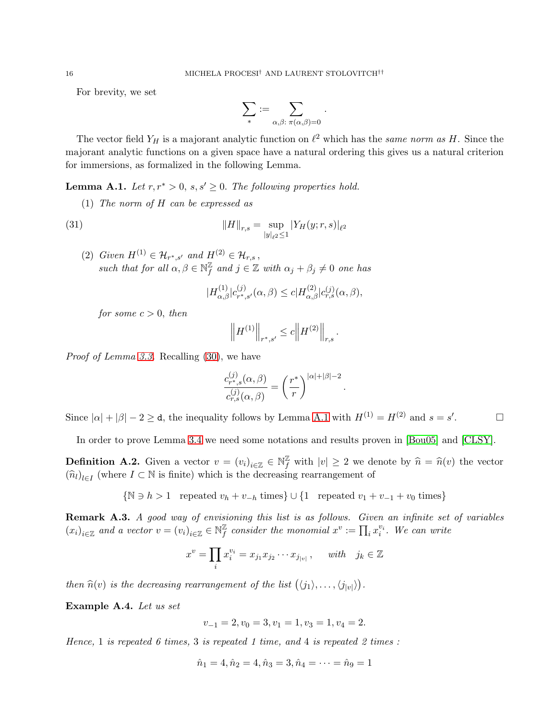For brevity, we set

$$
\sum_*:=\sum_{\alpha,\beta:\ \pi(\alpha,\beta)=0}
$$

.

The vector field  $Y_H$  is a majorant analytic function on  $\ell^2$  which has the *same norm as* H. Since the majorant analytic functions on a given space have a natural ordering this gives us a natural criterion for immersions, as formalized in the following Lemma.

<span id="page-15-0"></span>**Lemma A.1.** *Let*  $r, r^* > 0$ ,  $s, s' \geq 0$ . *The following properties hold.* 

(1) *The norm of* H *can be expressed as*

(31) 
$$
||H||_{r,s} = \sup_{|y|_{\ell^2} \le 1} |Y_H(y; r, s)|_{\ell^2}
$$

(2) *Given*  $H^{(1)}$  ∈  $\mathcal{H}_{r^*,s'}$  *and*  $H^{(2)}$  ∈  $\mathcal{H}_{r,s}$ , *such that for all*  $\alpha, \beta \in \mathbb{N}^{\mathbb{Z}}_f$  $\mathbb{Z}_f$  and  $j \in \mathbb{Z}$  with  $\alpha_j + \beta_j \neq 0$  one has

$$
|H_{\alpha,\beta}^{(1)}|c_{r^*,s'}^{(j)}(\alpha,\beta) \le c |H_{\alpha,\beta}^{(2)}|c_{r,s}^{(j)}(\alpha,\beta),
$$

*for some*  $c > 0$ *, then* 

$$
\left\|H^{(1)}\right\|_{r^*,s'}\leq c\Big\|H^{(2)}\Big\|_{r,s} \,.
$$

*Proof of Lemma [3.3.](#page-12-3)* Recalling [\(30\)](#page-14-0), we have

$$
\frac{c_{r^*,s}^{(j)}(\alpha,\beta)}{c_{r,s}^{(j)}(\alpha,\beta)} = \left(\frac{r^*}{r}\right)^{|\alpha|+|\beta|-2}.
$$

Since  $|\alpha| + |\beta| - 2 \ge d$ , the inequality follows by Lemma [A.1](#page-15-0) with  $H^{(1)} = H^{(2)}$  and  $s = s'$  $\Box$ 

In order to prove Lemma [3.4](#page-12-4) we need some notations and results proven in [\[Bou05\]](#page-25-20) and [\[CLSY\]](#page-25-22).

**Definition A.2.** Given a vector  $v = (v_i)_{i \in \mathbb{Z}} \in \mathbb{N}_{f}^{\mathbb{Z}}$  with  $|v| \geq 2$  we denote by  $\hat{n} = \hat{n}(v)$  the vector  $(\widehat{n}_l)_{l \in I}$  (where  $I \subset \mathbb{N}$  is finite) which is the decreasing rearrangement of

 $\{N \ni h > 1 \text{ repeated } v_h + v_{-h} \text{ times}\} \cup \{1 \text{ repeated } v_1 + v_{-1} + v_0 \text{ times}\}\$ 

Remark A.3. *A good way of envisioning this list is as follows. Given an infinite set of variables*  $(x_i)_{i \in \mathbb{Z}}$  and a vector  $v = (v_i)_{i \in \mathbb{Z}} \in \mathbb{N}^{\mathbb{Z}}_f$  $\frac{\mathbb{Z}}{f}$  consider the monomial  $x^v := \prod_i x_i^{v_i}$ . We can write

$$
x^v = \prod_i x_i^{v_i} = x_{j_1} x_{j_2} \cdots x_{j_{|v|}} , \quad \text{ with} \quad j_k \in \mathbb{Z}
$$

*then*  $\widehat{n}(v)$  *is the decreasing rearrangement of the list*  $(\langle j_1 \rangle, \ldots, \langle j_{|v|} \rangle)$ .

Example A.4. *Let us set*

$$
v_{-1} = 2, v_0 = 3, v_1 = 1, v_3 = 1, v_4 = 2.
$$

*Hence,* 1 *is repeated 6 times,* 3 *is repeated 1 time, and* 4 *is repeated 2 times :*

$$
\hat{n}_1 = 4, \hat{n}_2 = 4, \hat{n}_3 = 3, \hat{n}_4 = \dots = \hat{n}_9 = 1
$$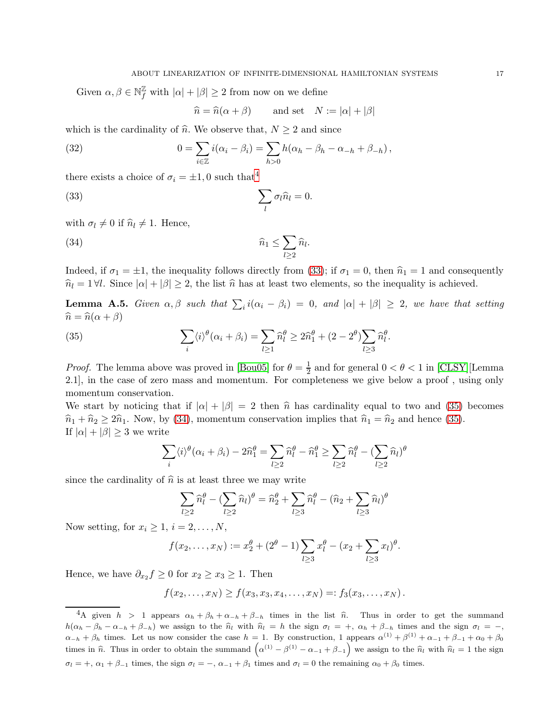Given  $\alpha,\beta\in\mathbb{N}^{\mathbb{Z}}_{f}$  with  $|\alpha|+|\beta|\geq 2$  from now on we define

<span id="page-16-3"></span><span id="page-16-1"></span>
$$
\widehat{n} = \widehat{n}(\alpha + \beta) \qquad \text{and set} \quad N := |\alpha| + |\beta|
$$

which is the cardinality of  $\hat{n}$ . We observe that,  $N \ge 2$  and since

(32) 
$$
0 = \sum_{i \in \mathbb{Z}} i(\alpha_i - \beta_i) = \sum_{h > 0} h(\alpha_h - \beta_h - \alpha_{-h} + \beta_{-h}),
$$

there exists a choice of  $\sigma_i = \pm 1, 0$  such that<sup>[4](#page-16-0)</sup>

(33) 
$$
\sum_{l} \sigma_{l} \hat{n}_{l} = 0.
$$

with  $\sigma_l \neq 0$  if  $\hat{n}_l \neq 1$ . Hence,

(34) 
$$
\widehat{n}_1 \leq \sum_{l \geq 2} \widehat{n}_l.
$$

Indeed, if  $\sigma_1 = \pm 1$ , the inequality follows directly from [\(33\)](#page-16-1); if  $\sigma_1 = 0$ , then  $\hat{n}_1 = 1$  and consequently  $\hat{n}_l = 1 \forall l$ . Since  $|\alpha| + |\beta| \geq 2$ , the list  $\hat{n}$  has at least two elements, so the inequality is achieved.

<span id="page-16-4"></span>**Lemma A.5.** *Given*  $\alpha, \beta$  *such that*  $\sum_i i(\alpha_i - \beta_i) = 0$ *, and*  $|\alpha| + |\beta| \geq 2$ *, we have that setting*  $\hat{n} = \hat{n}(\alpha + \beta)$ 

<span id="page-16-2"></span>(35) 
$$
\sum_{i} \langle i \rangle^{\theta} (\alpha_i + \beta_i) = \sum_{l \ge 1} \widehat{n}_l^{\theta} \ge 2\widehat{n}_1^{\theta} + (2 - 2^{\theta}) \sum_{l \ge 3} \widehat{n}_l^{\theta}.
$$

*Proof.* The lemma above was proved in [\[Bou05\]](#page-25-20) for  $\theta = \frac{1}{2}$  $\frac{1}{2}$  and for general  $0 < \theta < 1$  in [\[CLSY\]](#page-25-22)[Lemma 2.1], in the case of zero mass and momentum. For completeness we give below a proof , using only momentum conservation.

We start by noticing that if  $|\alpha| + |\beta| = 2$  then  $\hat{n}$  has cardinality equal to two and [\(35\)](#page-16-2) becomes  $\hat{n}_1 + \hat{n}_2 \geq 2\hat{n}_1$ . Now, by [\(34\)](#page-16-3), momentum conservation implies that  $\hat{n}_1 = \hat{n}_2$  and hence [\(35\)](#page-16-2). If  $|\alpha| + |\beta| \geq 3$  we write

$$
\sum_{i} \langle i \rangle^{\theta} (\alpha_i + \beta_i) - 2\widehat{n}_1^{\theta} = \sum_{l \ge 2} \widehat{n}_l^{\theta} - \widehat{n}_1^{\theta} \ge \sum_{l \ge 2} \widehat{n}_l^{\theta} - \left(\sum_{l \ge 2} \widehat{n}_l\right)^{\theta}
$$

since the cardinality of  $\hat{n}$  is at least three we may write

$$
\sum_{l\geq 2} \widehat{n}_l^{\theta} - \left(\sum_{l\geq 2} \widehat{n}_l\right)^{\theta} = \widehat{n}_2^{\theta} + \sum_{l\geq 3} \widehat{n}_l^{\theta} - \left(\widehat{n}_2 + \sum_{l\geq 3} \widehat{n}_l\right)^{\theta}
$$

Now setting, for  $x_i \geq 1$ ,  $i = 2, ..., N$ ,

$$
f(x_2,...,x_N) := x_2^{\theta} + (2^{\theta} - 1) \sum_{l \ge 3} x_l^{\theta} - (x_2 + \sum_{l \ge 3} x_l)^{\theta}.
$$

Hence, we have  $\partial_{x_2} f \geq 0$  for  $x_2 \geq x_3 \geq 1$ . Then

$$
f(x_2,...,x_N) \ge f(x_3,x_3,x_4,...,x_N) =: f_3(x_3,...,x_N).
$$

<span id="page-16-0"></span><sup>&</sup>lt;sup>4</sup>A given  $h > 1$  appears  $\alpha_h + \beta_h + \alpha_{-h} + \beta_{-h}$  times in the list  $\hat{n}$ . Thus in order to get the summand  $h(\alpha_h - \beta_h - \alpha_{-h} + \beta_{-h})$  we assign to the  $\hat{n}_l$  with  $\hat{n}_l = h$  the sign  $\sigma_l = +, \alpha_h + \beta_{-h}$  times and the sign  $\sigma_l = -$ ,  $\alpha_{-h} + \beta_h$  times. Let us now consider the case  $h = 1$ . By construction, 1 appears  $\alpha^{(1)} + \beta^{(1)} + \alpha_{-1} + \beta_{-1} + \alpha_0 + \beta_0$ times in  $\hat{n}$ . Thus in order to obtain the summand  $(\alpha^{(1)} - \beta^{(1)} - \alpha_{-1} + \beta_{-1})$  we assign to the  $\hat{n}_l$  with  $\hat{n}_l = 1$  the sign  $\sigma_l = +, \, \alpha_1 + \beta_{-1}$  times, the sign  $\sigma_l = -, \, \alpha_{-1} + \beta_1$  times and  $\sigma_l = 0$  the remaining  $\alpha_0 + \beta_0$  times.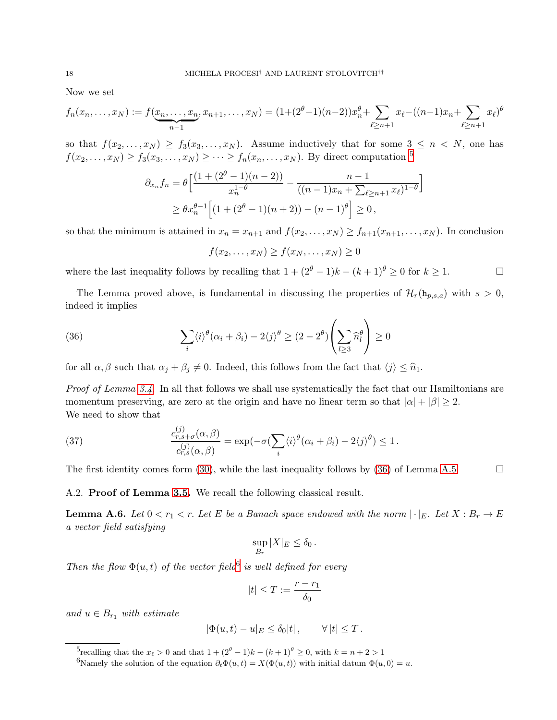Now we set

$$
f_n(x_n,\ldots,x_N) := f(\underbrace{x_n,\ldots,x_n}_{n-1},x_{n+1},\ldots,x_N) = (1+(2^{\theta}-1)(n-2))x_n^{\theta} + \sum_{\ell \geq n+1} x_{\ell} - ((n-1)x_n + \sum_{\ell \geq n+1} x_{\ell})^{\theta}
$$

so that  $f(x_2,...,x_N) \ge f_3(x_3,...,x_N)$ . Assume inductively that for some  $3 \le n \le N$ , one has  $f(x_2,...,x_N) \ge f_3(x_3,...,x_N) \ge \cdots \ge f_n(x_n,...,x_N)$ . By direct computation <sup>[5](#page-17-0)</sup>

$$
\partial_{x_n} f_n = \theta \left[ \frac{(1 + (2^{\theta} - 1)(n - 2))}{x_n^{1-\theta}} - \frac{n - 1}{((n - 1)x_n + \sum_{\ell \ge n+1} x_\ell)^{1-\theta}} \right]
$$
  
\n
$$
\ge \theta x_n^{\theta-1} \left[ (1 + (2^{\theta} - 1)(n + 2)) - (n - 1)^{\theta} \right] \ge 0,
$$

so that the minimum is attained in  $x_n = x_{n+1}$  and  $f(x_2, \ldots, x_N) \ge f_{n+1}(x_{n+1}, \ldots, x_N)$ . In conclusion

<span id="page-17-1"></span>
$$
f(x_2,\ldots,x_N)\geq f(x_N,\ldots,x_N)\geq 0
$$

where the last inequality follows by recalling that  $1 + (2^{\theta} - 1)k - (k+1)^{\theta} \ge 0$  for  $k \ge 1$ .

The Lemma proved above, is fundamental in discussing the properties of  $\mathcal{H}_r(\mathbf{h}_{p,s,a})$  with  $s > 0$ , indeed it implies

(36) 
$$
\sum_{i} \langle i \rangle^{\theta} (\alpha_i + \beta_i) - 2 \langle j \rangle^{\theta} \ge (2 - 2^{\theta}) \left( \sum_{l \ge 3} \widehat{n}_l^{\theta} \right) \ge 0
$$

for all  $\alpha, \beta$  such that  $\alpha_j + \beta_j \neq 0$ . Indeed, this follows from the fact that  $\langle j \rangle \leq \hat{n}_1$ .

*Proof of Lemma [3.4.](#page-12-4)* In all that follows we shall use systematically the fact that our Hamiltonians are momentum preserving, are zero at the origin and have no linear term so that  $|\alpha| + |\beta| \geq 2$ . We need to show that

(37) 
$$
\frac{c_{r,s+\sigma}^{(j)}(\alpha,\beta)}{c_{r,s}^{(j)}(\alpha,\beta)} = \exp(-\sigma(\sum_{i} \langle i \rangle^{\theta}(\alpha_i + \beta_i) - 2\langle j \rangle^{\theta}) \le 1.
$$

The first identity comes form [\(30\)](#page-14-0), while the last inequality follows by [\(36\)](#page-17-1) of Lemma [A.5](#page-16-4)  $\Box$ 

<span id="page-17-4"></span>

A.2. Proof of Lemma [3.5.](#page-12-1) We recall the following classical result.

<span id="page-17-3"></span>**Lemma A.6.** Let  $0 < r_1 < r$ . Let E be a Banach space endowed with the norm  $|\cdot|_E$ . Let  $X : B_r \to E$ *a vector field satisfying*

$$
\sup_{B_r} |X|_E \le \delta_0 \, .
$$

*Then the flow*  $\Phi(u,t)$  *of the vector field*<sup>[6](#page-17-2)</sup> *is well defined for every* 

$$
|t|\leq T:=\frac{r-r_1}{\delta_0}
$$

*and*  $u \in B_{r_1}$  *with estimate* 

$$
|\Phi(u,t) - u|_E \le \delta_0 |t|, \qquad \forall |t| \le T.
$$

<sup>5</sup>recalling that the  $x_{\ell} > 0$  and that  $1 + (2^{\theta} - 1)k - (k+1)^{\theta} \geq 0$ , with  $k = n+2 > 1$ 

<span id="page-17-2"></span><span id="page-17-0"></span><sup>6</sup>Namely the solution of the equation  $\partial_t \Phi(u, t) = X(\Phi(u, t))$  with initial datum  $\Phi(u, 0) = u$ .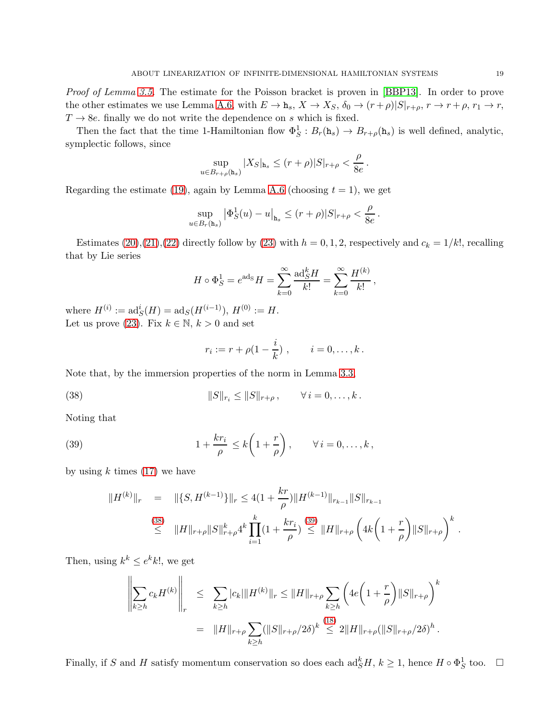*Proof of Lemma [3.5.](#page-12-1)* The estimate for the Poisson bracket is proven in [\[BBP13\]](#page-24-12). In order to prove the other estimates we use Lemma [A.6,](#page-17-3) with  $E \to h_s$ ,  $X \to X_S$ ,  $\delta_0 \to (r+\rho)|S|_{r+\rho}$ ,  $r \to r+\rho$ ,  $r_1 \to r$ ,  $T \rightarrow 8e$ . finally we do not write the dependence on s which is fixed.

Then the fact that the time 1-Hamiltonian flow  $\Phi_S^1 : B_r(\mathbf{h}_s) \to B_{r+\rho}(\mathbf{h}_s)$  is well defined, analytic, symplectic follows, since

$$
\sup_{u\in B_{r+\rho}(\mathtt{h}_s)}|X_S|_{\mathtt{h}_s}\leq (r+\rho)|S|_{r+\rho}<\frac{\rho}{8e}.
$$

Regarding the estimate [\(19\)](#page-12-2), again by Lemma [A.6](#page-17-3) (choosing  $t = 1$ ), we get

$$
\sup_{u \in B_r(\mathbf{h}_s)} |\Phi_S^1(u) - u|_{\mathbf{h}_s} \le (r + \rho)|S|_{r + \rho} < \frac{\rho}{8e}.
$$

Estimates [\(20\)](#page-12-5),[\(21\)](#page-12-6),[\(22\)](#page-12-7) directly follow by [\(23\)](#page-12-8) with  $h = 0, 1, 2$ , respectively and  $c_k = 1/k!$ , recalling that by Lie series

$$
H \circ \Phi_S^1 = e^{\text{ads}} H = \sum_{k=0}^{\infty} \frac{\text{ad}_S^k H}{k!} = \sum_{k=0}^{\infty} \frac{H^{(k)}}{k!},
$$

where  $H^{(i)} := \text{ad}_S^i(H) = \text{ad}_S(H^{(i-1)}), H^{(0)} := H.$ Let us prove [\(23\)](#page-12-8). Fix  $k \in \mathbb{N}$ ,  $k > 0$  and set

<span id="page-18-1"></span><span id="page-18-0"></span>
$$
r_i := r + \rho(1 - \frac{i}{k}), \qquad i = 0, ..., k.
$$

Note that, by the immersion properties of the norm in Lemma [3.3,](#page-12-3)

(38) 
$$
||S||_{r_i} \leq ||S||_{r+\rho}, \qquad \forall i=0,\ldots,k.
$$

Noting that

(39) 
$$
1 + \frac{kr_i}{\rho} \le k \left( 1 + \frac{r}{\rho} \right), \qquad \forall i = 0, \ldots, k,
$$

by using  $k$  times [\(17\)](#page-12-9) we have

$$
||H^{(k)}||_{r} = ||\{S, H^{(k-1)}\}||_{r} \le 4(1 + \frac{kr}{\rho})||H^{(k-1)}||_{r_{k-1}}||S||_{r_{k-1}}
$$
  
\n
$$
\le ||H||_{r+\rho}||S||_{r+\rho}^{k}4^{k}\prod_{i=1}^{k}(1 + \frac{kr_{i}}{\rho}) \le ||H||_{r+\rho}\left(4k\left(1 + \frac{r}{\rho}\right)||S||_{r+\rho}\right)^{k}.
$$

Then, using  $k^k \le e^k k!$ , we get

$$
\left\| \sum_{k \ge h} c_k H^{(k)} \right\|_r \le \sum_{k \ge h} |c_k| \|H^{(k)}\|_r \le \|H\|_{r+\rho} \sum_{k \ge h} \left( 4e \left( 1 + \frac{r}{\rho} \right) \|S\|_{r+\rho} \right)^k
$$
  

$$
= \|H\|_{r+\rho} \sum_{k \ge h} (\|S\|_{r+\rho}/2\delta)^k \stackrel{(18)}{\le} 2 \|H\|_{r+\rho} (\|S\|_{r+\rho}/2\delta)^h.
$$

Finally, if S and H satisfy momentum conservation so does each  $\text{ad}_{S}^{k}H$ ,  $k \geq 1$ , hence  $H \circ \Phi_{S}^{1}$  too.  $\Box$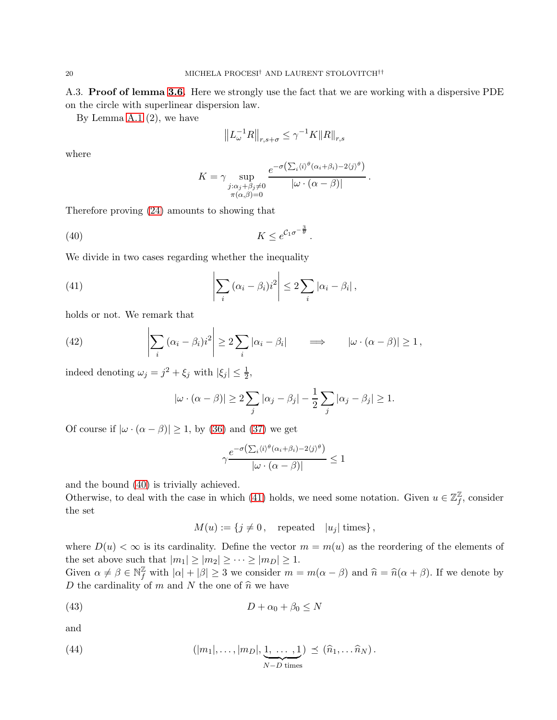A.3. Proof of lemma [3.6.](#page-12-0) Here we strongly use the fact that we are working with a dispersive PDE on the circle with superlinear dispersion law.

By Lemma [A.1](#page-15-0)  $(2)$ , we have

$$
\left\|L_{\omega}^{-1}R\right\|_{r,s+\sigma}\leq\gamma^{-1}K\|R\|_{r,s}
$$

where

$$
K = \gamma \sup_{\substack{j:\alpha_j+\beta_j\neq 0 \\ \pi(\alpha,\beta)=0}} \frac{e^{-\sigma\left(\sum_i \langle i \rangle^{\theta}(\alpha_i+\beta_i)-2\langle j \rangle^{\theta}\right)}}{|\omega \cdot (\alpha-\beta)|}.
$$

<span id="page-19-1"></span><span id="page-19-0"></span>.

Therefore proving [\(24\)](#page-12-11) amounts to showing that

$$
(40) \t\t K \le e^{\mathcal{C}_1 \sigma^{-\frac{3}{\theta}}}
$$

We divide in two cases regarding whether the inequality

(41) 
$$
\left|\sum_{i} (\alpha_i - \beta_i) i^2\right| \leq 2 \sum_{i} |\alpha_i - \beta_i|,
$$

holds or not. We remark that

(42) 
$$
\left|\sum_{i} (\alpha_i - \beta_i) i^2\right| \ge 2 \sum_{i} |\alpha_i - \beta_i| \qquad \Longrightarrow \qquad |\omega \cdot (\alpha - \beta)| \ge 1,
$$

indeed denoting  $\omega_j = j^2 + \xi_j$  with  $|\xi_j| \leq \frac{1}{2}$ ,

$$
|\omega \cdot (\alpha - \beta)| \ge 2 \sum_j |\alpha_j - \beta_j| - \frac{1}{2} \sum_j |\alpha_j - \beta_j| \ge 1.
$$

Of course if  $|\omega \cdot (\alpha - \beta)| \ge 1$ , by [\(36\)](#page-17-1) and [\(37\)](#page-17-4) we get

$$
\gamma \frac{e^{-\sigma\left(\sum_i \langle i \rangle^{\theta} (\alpha_i + \beta_i) - 2\langle j \rangle^{\theta}\right)}}{|\omega \cdot (\alpha - \beta)|} \le 1
$$

and the bound [\(40\)](#page-19-0) is trivially achieved.

Otherwise, to deal with the case in which [\(41\)](#page-19-1) holds, we need some notation. Given  $u \in \mathbb{Z}_f^{\mathbb{Z}}$  $\frac{\mathbb{Z}}{f}$ , consider the set

<span id="page-19-3"></span><span id="page-19-2"></span>
$$
M(u) := \{ j \neq 0, \quad \text{repeated} \quad |u_j| \text{ times} \},
$$

where  $D(u) < \infty$  is its cardinality. Define the vector  $m = m(u)$  as the reordering of the elements of the set above such that  $|m_1| \ge |m_2| \ge \cdots \ge |m_D| \ge 1$ .

Given  $\alpha \neq \beta \in \mathbb{N}_{f}^{\mathbb{Z}}$  with  $|\alpha| + |\beta| \geq 3$  we consider  $m = m(\alpha - \beta)$  and  $\hat{n} = \hat{n}(\alpha + \beta)$ . If we denote by D the cardinality of m and N the one of  $\hat{n}$  we have

$$
(43) \t\t\t D + \alpha_0 + \beta_0 \le N
$$

and

(44) 
$$
(|m_1|,\ldots,|m_D|,\underbrace{1,\ldots,1}_{N-D \text{ times}}) \preceq (\widehat{n}_1,\ldots,\widehat{n}_N).
$$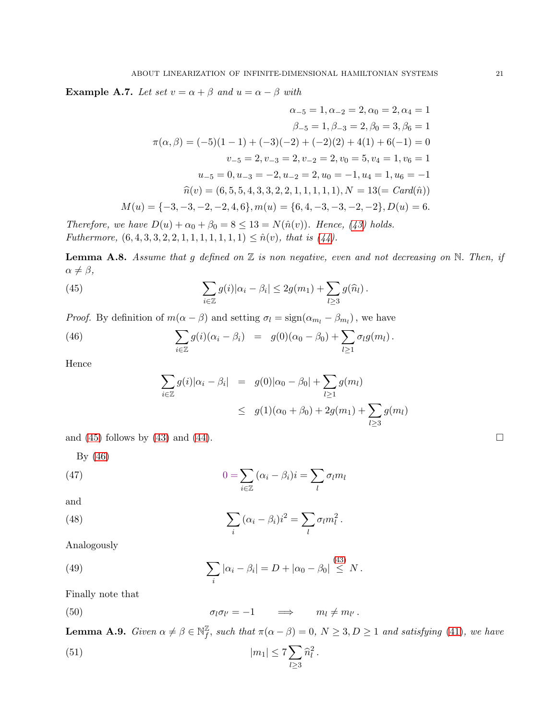**Example A.7.** *Let set*  $v = \alpha + \beta$  *and*  $u = \alpha - \beta$  *with* 

$$
\alpha_{-5} = 1, \alpha_{-2} = 2, \alpha_0 = 2, \alpha_4 = 1
$$

$$
\beta_{-5} = 1, \beta_{-3} = 2, \beta_0 = 3, \beta_6 = 1
$$

$$
\pi(\alpha, \beta) = (-5)(1 - 1) + (-3)(-2) + (-2)(2) + 4(1) + 6(-1) = 0
$$

$$
v_{-5} = 2, v_{-3} = 2, v_{-2} = 2, v_0 = 5, v_4 = 1, v_6 = 1
$$

$$
u_{-5} = 0, u_{-3} = -2, u_{-2} = 2, u_0 = -1, u_4 = 1, u_6 = -1
$$

$$
\widehat{n}(v) = (6, 5, 5, 4, 3, 3, 2, 2, 1, 1, 1, 1, 1), N = 13(= Card(\widehat{n}))
$$

$$
M(u) = \{-3, -3, -2, -2, 4, 6\}, m(u) = \{6, 4, -3, -3, -2, -2\}, D(u) = 6.
$$

*Therefore, we have*  $D(u) + \alpha_0 + \beta_0 = 8 \le 13 = N(\hat{n}(v))$ *. Hence,* [\(43\)](#page-19-2) holds. *Futhermore,*  $(6, 4, 3, 3, 2, 2, 1, 1, 1, 1, 1, 1, 1) \leq \hat{n}(v)$ *, that is*  $(44)$ *.* 

Lemma A.8. *Assume that* g *defined on* Z *is non negative, even and not decreasing on* N. *Then, if*  $\alpha \neq \beta$ ,

(45) 
$$
\sum_{i\in\mathbb{Z}}g(i)|\alpha_i-\beta_i|\leq 2g(m_1)+\sum_{l\geq 3}g(\widehat{n}_l).
$$

*Proof.* By definition of  $m(\alpha - \beta)$  and setting  $\sigma_l = \text{sign}(\alpha_{m_l} - \beta_{m_l})$ , we have

(46) 
$$
\sum_{i \in \mathbb{Z}} g(i) (\alpha_i - \beta_i) = g(0) (\alpha_0 - \beta_0) + \sum_{l \geq 1} \sigma_l g(m_l).
$$

Hence

<span id="page-20-5"></span><span id="page-20-4"></span><span id="page-20-1"></span><span id="page-20-0"></span>
$$
\sum_{i \in \mathbb{Z}} g(i) |\alpha_i - \beta_i| = g(0) |\alpha_0 - \beta_0| + \sum_{l \ge 1} g(m_l)
$$
  

$$
\le g(1) (\alpha_0 + \beta_0) + 2g(m_1) + \sum_{l \ge 3} g(m_l)
$$

and [\(45\)](#page-20-0) follows by [\(43\)](#page-19-2) and [\(44\)](#page-19-3).

By [\(46\)](#page-20-1)

(47) 
$$
0 = \sum_{i \in \mathbb{Z}} (\alpha_i - \beta_i) i = \sum_l \sigma_l m_l
$$

$$
\quad\text{and}\quad
$$

(48) 
$$
\sum_{i} (\alpha_i - \beta_i) i^2 = \sum_{l} \sigma_l m_l^2.
$$

Analogously

<span id="page-20-3"></span>(49) 
$$
\sum_{i} |\alpha_{i} - \beta_{i}| = D + |\alpha_{0} - \beta_{0}| \stackrel{(43)}{\leq} N.
$$

Finally note that

<span id="page-20-2"></span>(50) 
$$
\sigma_l \sigma_{l'} = -1 \qquad \Longrightarrow \qquad m_l \neq m_{l'}.
$$

<span id="page-20-6"></span>**Lemma A.9.** *Given*  $\alpha \neq \beta \in \mathbb{N}^{\mathbb{Z}}_f$  $\mathcal{L}_f^{\mathbb{Z}},$  such that  $\pi(\alpha - \beta) = 0, N \geq 3, D \geq 1$  and satisfying [\(41\)](#page-19-1), we have

<span id="page-20-7"></span>(51) 
$$
|m_1| \le 7 \sum_{l \ge 3} \hat{n}_l^2
$$
.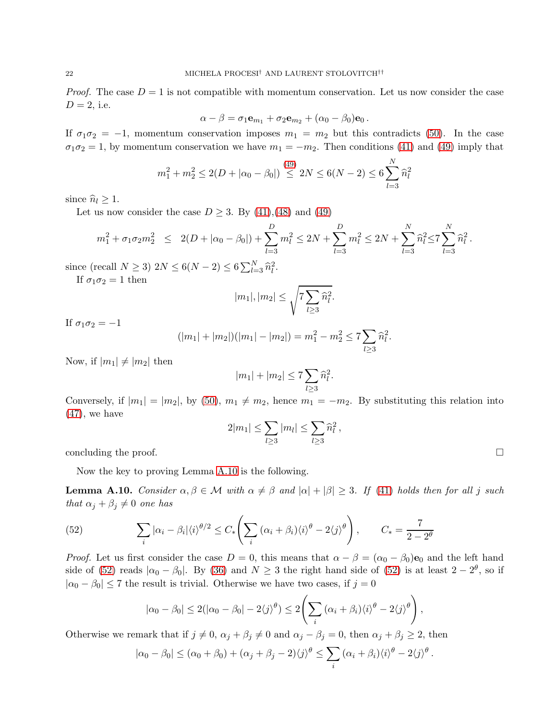*Proof.* The case  $D = 1$  is not compatible with momentum conservation. Let us now consider the case  $D = 2$ , i.e.

$$
\alpha-\beta=\sigma_1\mathbf{e}_{m_1}+\sigma_2\mathbf{e}_{m_2}+(\alpha_0-\beta_0)\mathbf{e}_0.
$$

If  $\sigma_1 \sigma_2 = -1$ , momentum conservation imposes  $m_1 = m_2$  but this contradicts [\(50\)](#page-20-2). In the case  $\sigma_1 \sigma_2 = 1$ , by momentum conservation we have  $m_1 = -m_2$ . Then conditions [\(41\)](#page-19-1) and [\(49\)](#page-20-3) imply that

$$
m_1^2 + m_2^2 \le 2(D + |\alpha_0 - \beta_0|) \stackrel{(49)}{\le} 2N \le 6(N - 2) \le 6\sum_{l=3}^N \widehat{n}_l^2
$$

since  $\widehat{n}_l \geq 1$ .

Let us now consider the case  $D \geq 3$ . By [\(41\)](#page-19-1), [\(48\)](#page-20-4) and [\(49\)](#page-20-3)

$$
m_1^2 + \sigma_1 \sigma_2 m_2^2 \leq 2(D + |\alpha_0 - \beta_0|) + \sum_{l=3}^{D} m_l^2 \leq 2N + \sum_{l=3}^{D} m_l^2 \leq 2N + \sum_{l=3}^{N} \widehat{n}_l^2 \leq 7 \sum_{l=3}^{N} \widehat{n}_l^2.
$$

since (recall  $N \ge 3$ )  $2N \le 6(N-2) \le 6\sum_{l=3}^{N} \hat{n}_l^2$ . If  $\sigma_1 \sigma_2 = 1$  then

 $|m_1|, |m_2| \leq \sqrt{7 \sum_{i=1}^n |m_i|}$  $l\geq3$ 

If  $\sigma_1 \sigma_2 = -1$ 

$$
(|m_1| + |m_2|)(|m_1| - |m_2|) = m_1^2 - m_2^2 \le 7 \sum_{l \ge 3} \hat{n}_l^2.
$$

 $\widehat{n}_l^2$ .

Now, if  $|m_1| \neq |m_2|$  then

$$
|m_1| + |m_2| \le 7 \sum_{l \ge 3} \hat{n}_l^2.
$$

Conversely, if  $|m_1| = |m_2|$ , by [\(50\)](#page-20-2),  $m_1 \neq m_2$ , hence  $m_1 = -m_2$ . By substituting this relation into  $(47)$ , we have

$$
2|m_1| \leq \sum_{l \geq 3} |m_l| \leq \sum_{l \geq 3} \widehat{n}_l^2,
$$

concluding the proof.  $\Box$ 

Now the key to proving Lemma [A.10](#page-21-0) is the following.

<span id="page-21-0"></span>**Lemma A.10.** *Consider*  $\alpha, \beta \in \mathcal{M}$  *with*  $\alpha \neq \beta$  *and*  $|\alpha| + |\beta| \geq 3$ *. If* [\(41\)](#page-19-1) *holds then for all* j *such that*  $\alpha_j + \beta_j \neq 0$  *one has* 

<span id="page-21-1"></span>(52) 
$$
\sum_{i} |\alpha_i - \beta_i| \langle i \rangle^{\theta/2} \le C_* \left( \sum_{i} (\alpha_i + \beta_i) \langle i \rangle^{\theta} - 2 \langle j \rangle^{\theta} \right), \qquad C_* = \frac{7}{2 - 2^{\theta}}
$$

*Proof.* Let us first consider the case  $D = 0$ , this means that  $\alpha - \beta = (\alpha_0 - \beta_0)$  e<sub>0</sub> and the left hand side of [\(52\)](#page-21-1) reads  $|\alpha_0 - \beta_0|$ . By [\(36\)](#page-17-1) and  $N \ge 3$  the right hand side of (52) is at least  $2 - 2^{\theta}$ , so if  $|\alpha_0 - \beta_0| \le 7$  the result is trivial. Otherwise we have two cases, if  $j = 0$ 

$$
|\alpha_0 - \beta_0| \leq 2(|\alpha_0 - \beta_0| - 2\langle j \rangle^{\theta}) \leq 2\left(\sum_i (\alpha_i + \beta_i)\langle i \rangle^{\theta} - 2\langle j \rangle^{\theta}\right),
$$

Otherwise we remark that if  $j \neq 0$ ,  $\alpha_j + \beta_j \neq 0$  and  $\alpha_j - \beta_j = 0$ , then  $\alpha_j + \beta_j \geq 2$ , then

$$
|\alpha_0 - \beta_0| \leq (\alpha_0 + \beta_0) + (\alpha_j + \beta_j - 2)\langle j \rangle^{\theta} \leq \sum_i (\alpha_i + \beta_i)\langle i \rangle^{\theta} - 2\langle j \rangle^{\theta}.
$$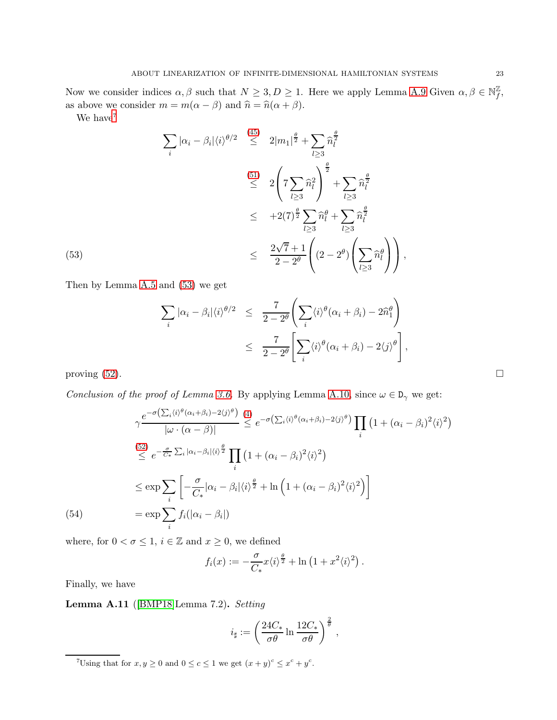Now we consider indices  $\alpha, \beta$  such that  $N \geq 3, D \geq 1$ . Here we apply Lemma [A.9](#page-20-6) Given  $\alpha, \beta \in \mathbb{N}^{\mathbb{Z}}_f$  $_{f}^{\mathbb{Z}},$ as above we consider  $m = m(\alpha - \beta)$  and  $\hat{n} = \hat{n}(\alpha + \beta)$ .

<span id="page-22-1"></span>We have<sup>[7](#page-22-0)</sup>

$$
\sum_{i} |\alpha_{i} - \beta_{i}| \langle i \rangle^{\theta/2} \stackrel{(45)}{\leq} 2|m_{1}|^{\frac{\theta}{2}} + \sum_{l \geq 3} \widehat{n}_{l}^{\frac{\theta}{2}}
$$
\n
$$
\stackrel{(51)}{\leq} 2\left(7 \sum_{l \geq 3} \widehat{n}_{l}^{2}\right)^{\frac{\theta}{2}} + \sum_{l \geq 3} \widehat{n}_{l}^{\frac{\theta}{2}}
$$
\n
$$
\leq +2(7)^{\frac{\theta}{2}} \sum_{l \geq 3} \widehat{n}_{l}^{\theta} + \sum_{l \geq 3} \widehat{n}_{l}^{\frac{\theta}{2}}
$$
\n
$$
\leq \frac{2\sqrt{7} + 1}{2 - 2^{\theta}} \left( (2 - 2^{\theta}) \left( \sum_{l \geq 3} \widehat{n}_{l}^{\theta} \right) \right),
$$

Then by Lemma [A.5](#page-16-4) and [\(53\)](#page-22-1) we get

$$
\sum_{i} |\alpha_{i} - \beta_{i}| \langle i \rangle^{\theta/2} \leq \frac{7}{2 - 2^{\theta}} \left( \sum_{i} \langle i \rangle^{\theta} (\alpha_{i} + \beta_{i}) - 2\widehat{n}_{1}^{\theta} \right)
$$

$$
\leq \frac{7}{2 - 2^{\theta}} \left[ \sum_{i} \langle i \rangle^{\theta} (\alpha_{i} + \beta_{i}) - 2 \langle j \rangle^{\theta} \right]
$$

proving  $(52)$ .

*Conclusion of the proof of Lemma [3.6.](#page-12-0)* By applying Lemma [A.10,](#page-21-0) since  $\omega \in D_{\gamma}$  we get:

<span id="page-22-2"></span>
$$
\gamma \frac{e^{-\sigma(\sum_i \langle i \rangle^{\theta} (\alpha_i + \beta_i) - 2\langle j \rangle^{\theta})}}{|\omega \cdot (\alpha - \beta)|} \stackrel{(4)}{\leq} e^{-\sigma(\sum_i \langle i \rangle^{\theta} (\alpha_i + \beta_i) - 2\langle j \rangle^{\theta})} \prod_i (1 + (\alpha_i - \beta_i)^2 \langle i \rangle^2)
$$
\n
$$
\stackrel{(52)}{\leq} e^{-\frac{\sigma}{C_*} \sum_i |\alpha_i - \beta_i| \langle i \rangle^{\frac{\theta}{2}}} \prod_i (1 + (\alpha_i - \beta_i)^2 \langle i \rangle^2)
$$
\n
$$
\leq \exp \sum_i \left[ -\frac{\sigma}{C_*} |\alpha_i - \beta_i| \langle i \rangle^{\frac{\theta}{2}} + \ln \left( 1 + (\alpha_i - \beta_i)^2 \langle i \rangle^2 \right) \right]
$$
\n(54)\n
$$
= \exp \sum_i f_i (|\alpha_i - \beta_i|)
$$

where, for  $0 < \sigma \leq 1$ ,  $i \in \mathbb{Z}$  and  $x \geq 0$ , we defined

$$
f_i(x) := -\frac{\sigma}{C_*} x \langle i \rangle^{\frac{\theta}{2}} + \ln \left( 1 + x^2 \langle i \rangle^2 \right).
$$

Finally, we have

Lemma A.11 ([\[BMP18\]](#page-25-15)Lemma 7.2). *Setting*

$$
i_{\sharp} := \left(\frac{24C_*}{\sigma\theta} \ln \frac{12C_*}{\sigma\theta}\right)^{\frac{2}{\theta}},
$$

,

<span id="page-22-0"></span><sup>&</sup>lt;sup>7</sup>Using that for  $x, y \ge 0$  and  $0 \le c \le 1$  we get  $(x + y)^c \le x^c + y^c$ .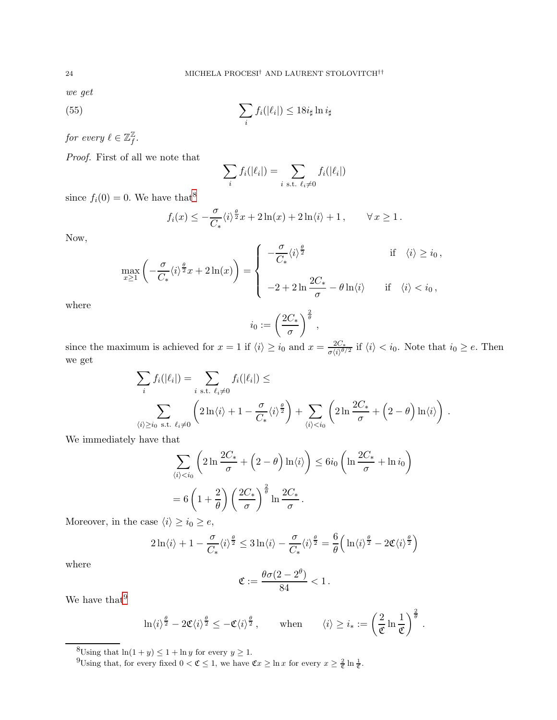*we get*

(55) 
$$
\sum_{i} f_i(|\ell_i|) \leq 18i_{\sharp} \ln i_{\sharp}
$$

*for every*  $\ell \in \mathbb{Z}_f^{\mathbb{Z}}$ f *.*

*Proof.* First of all we note that

<span id="page-23-2"></span>
$$
\sum_i f_i(|\ell_i|) = \sum_{i \text{ s.t. } \ell_i \neq 0} f_i(|\ell_i|)
$$

since  $f_i(0) = 0$ . We have that<sup>[8](#page-23-0)</sup>

$$
f_i(x) \le -\frac{\sigma}{C_*} \langle i \rangle^{\frac{\theta}{2}} x + 2 \ln(x) + 2 \ln \langle i \rangle + 1, \qquad \forall x \ge 1.
$$

Now,

$$
\max_{x\geq 1}\left(-\frac{\sigma}{C_*}\langle i\rangle^{\frac{\theta}{2}}x+2\ln(x)\right)=\left\{\begin{array}{cc}-\frac{\sigma}{C_*}\langle i\rangle^{\frac{\theta}{2}}&\text{if}\quad \langle i\rangle\geq i_0\,,\\ \\ -2+2\ln\frac{2C_*}{\sigma}-\theta\ln\langle i\rangle&\text{if}\quad \langle i\rangle
$$

where

$$
i_0 := \left(\frac{2C_*}{\sigma}\right)^{\frac{2}{\theta}},
$$

since the maximum is achieved for  $x = 1$  if  $\langle i \rangle \ge i_0$  and  $x = \frac{2C_*}{\sigma \langle i \rangle^{\theta}}$  $\frac{2C_*}{\sigma \langle i \rangle^{\theta/2}}$  if  $\langle i \rangle < i_0$ . Note that  $i_0 \geq e$ . Then we get

$$
\sum_{i} f_i(|\ell_i|) = \sum_{i \text{ s.t. } \ell_i \neq 0} f_i(|\ell_i|) \le
$$
  

$$
\sum_{\langle i \rangle \ge i_0 \text{ s.t. } \ell_i \neq 0} \left(2\ln \langle i \rangle + 1 - \frac{\sigma}{C_*} \langle i \rangle^{\frac{\theta}{2}}\right) + \sum_{\langle i \rangle < i_0} \left(2\ln \frac{2C_*}{\sigma} + \left(2 - \theta\right) \ln \langle i \rangle\right).
$$

We immediately have that

$$
\sum_{\langle i \rangle < i_0} \left( 2 \ln \frac{2C_*}{\sigma} + \left( 2 - \theta \right) \ln \langle i \rangle \right) \le 6i_0 \left( \ln \frac{2C_*}{\sigma} + \ln i_0 \right)
$$
\n
$$
= 6 \left( 1 + \frac{2}{\theta} \right) \left( \frac{2C_*}{\sigma} \right)^{\frac{2}{\theta}} \ln \frac{2C_*}{\sigma}.
$$

Moreover, in the case  $\langle i \rangle \geq i_0 \geq e,$ 

$$
2\ln\langle i\rangle + 1 - \frac{\sigma}{C_*}\langle i\rangle^{\frac{\theta}{2}} \leq 3\ln\langle i\rangle - \frac{\sigma}{C_*}\langle i\rangle^{\frac{\theta}{2}} = \frac{6}{\theta}\Big(\ln\langle i\rangle^{\frac{\theta}{2}} - 2\mathfrak{C}\langle i\rangle^{\frac{\theta}{2}}\Big)
$$

where

$$
\mathfrak{C}:=\frac{\theta\sigma(2-2^\theta)}{84}<1\,.
$$

We have that  $\sp{9}$  $\sp{9}$  $\sp{9}$ 

$$
\ln \langle i \rangle^{\frac{\theta}{2}} - 2 \mathfrak{C} \langle i \rangle^{\frac{\theta}{2}} \leq - \mathfrak{C} \langle i \rangle^{\frac{\theta}{2}}, \quad \text{when} \quad \langle i \rangle \geq i_* := \left( \frac{2}{\mathfrak{C}} \ln \frac{1}{\mathfrak{C}} \right)^{\frac{2}{\theta}}.
$$

<sup>&</sup>lt;sup>8</sup>Using that  $ln(1 + y) \le 1 + ln y$  for every  $y \ge 1$ .

<span id="page-23-1"></span><span id="page-23-0"></span><sup>&</sup>lt;sup>9</sup>Using that, for every fixed  $0 < \mathfrak{C} \leq 1$ , we have  $\mathfrak{C}x \geq \ln x$  for every  $x \geq \frac{2}{\mathfrak{C}} \ln \frac{1}{\mathfrak{C}}$ .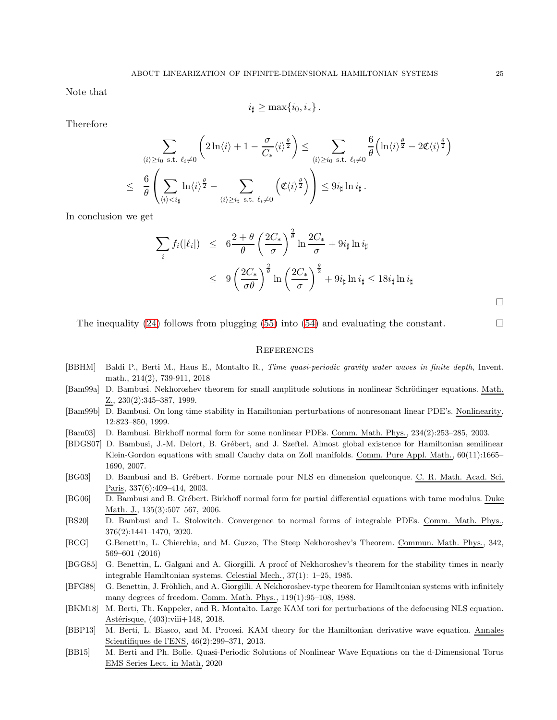Note that

$$
i_{\sharp} \geq \max\{i_0, i_*\}.
$$

Therefore

$$
\sum_{\langle i \rangle \geq i_0 \text{ s.t. } \ell_i \neq 0} \left( 2 \ln \langle i \rangle + 1 - \frac{\sigma}{C_*} \langle i \rangle^{\frac{\theta}{2}} \right) \leq \sum_{\langle i \rangle \geq i_0 \text{ s.t. } \ell_i \neq 0} \frac{6}{\theta} \left( \ln \langle i \rangle^{\frac{\theta}{2}} - 2 \mathfrak{C} \langle i \rangle^{\frac{\theta}{2}} \right)
$$
  

$$
\leq \frac{6}{\theta} \left( \sum_{\langle i \rangle < i_\sharp} \ln \langle i \rangle^{\frac{\theta}{2}} - \sum_{\langle i \rangle \geq i_\sharp \text{ s.t. } \ell_i \neq 0} \left( \mathfrak{C} \langle i \rangle^{\frac{\theta}{2}} \right) \right) \leq 9 i_\sharp \ln i_\sharp.
$$

In conclusion we get

$$
\sum_{i} f_i(|\ell_i|) \leq 6 \frac{2+\theta}{\theta} \left(\frac{2C_*}{\sigma}\right)^{\frac{2}{\theta}} \ln \frac{2C_*}{\sigma} + 9i_{\sharp} \ln i_{\sharp}
$$
\n
$$
\leq 9 \left(\frac{2C_*}{\sigma \theta}\right)^{\frac{2}{\theta}} \ln \left(\frac{2C_*}{\sigma}\right)^{\frac{\theta}{2}} + 9i_{\sharp} \ln i_{\sharp} \leq 18i_{\sharp} \ln i_{\sharp}
$$

 $\Box$ 

The inequality [\(24\)](#page-12-11) follows from plugging [\(55\)](#page-23-2) into [\(54\)](#page-22-2) and evaluating the constant.  $\Box$ 

#### **REFERENCES**

- <span id="page-24-3"></span>[BBHM] Baldi P., Berti M., Haus E., Montalto R., Time quasi-periodic gravity water waves in finite depth, Invent. math., 214(2), 739-911, 2018
- [Bam99a] D. Bambusi. Nekhoroshev theorem for small amplitude solutions in nonlinear Schrödinger equations. Math. Z., 230(2):345–387, 1999.
- <span id="page-24-4"></span>[Bam99b] D. Bambusi. On long time stability in Hamiltonian perturbations of nonresonant linear PDE's. Nonlinearity, 12:823–850, 1999.
- <span id="page-24-5"></span>[Bam03] D. Bambusi. Birkhoff normal form for some nonlinear PDEs. Comm. Math. Phys., 234(2):253–285, 2003.
- <span id="page-24-8"></span>[BDGS07] D. Bambusi, J.-M. Delort, B. Grébert, and J. Szeftel. Almost global existence for Hamiltonian semilinear Klein-Gordon equations with small Cauchy data on Zoll manifolds. Comm. Pure Appl. Math., 60(11):1665– 1690, 2007.
- <span id="page-24-6"></span>[BG03] D. Bambusi and B. Grébert. Forme normale pour NLS en dimension quelconque. C. R. Math. Acad. Sci. Paris, 337(6):409–414, 2003.
- <span id="page-24-7"></span>[BG06] D. Bambusi and B. Grébert. Birkhoff normal form for partial differential equations with tame modulus. Duke Math. J., 135(3):507–567, 2006.
- <span id="page-24-0"></span>[BS20] D. Bambusi and L. Stolovitch. Convergence to normal forms of integrable PDEs. Comm. Math. Phys., 376(2):1441–1470, 2020.
- <span id="page-24-11"></span>[BCG] G.Benettin, L. Chierchia, and M. Guzzo, The Steep Nekhoroshev's Theorem. Commun. Math. Phys., 342, 569–601 (2016)
- <span id="page-24-10"></span>[BGG85] G. Benettin, L. Galgani and A. Giorgilli. A proof of Nekhoroshev's theorem for the stability times in nearly integrable Hamiltonian systems. Celestial Mech., 37(1): 1–25, 1985.
- <span id="page-24-9"></span>[BFG88] G. Benettin, J. Fröhlich, and A. Giorgilli. A Nekhoroshev-type theorem for Hamiltonian systems with infinitely many degrees of freedom. Comm. Math. Phys., 119(1):95–108, 1988.
- <span id="page-24-1"></span>[BKM18] M. Berti, Th. Kappeler, and R. Montalto. Large KAM tori for perturbations of the defocusing NLS equation. Astérisque, (403):viii+148, 2018.
- <span id="page-24-12"></span>[BBP13] M. Berti, L. Biasco, and M. Procesi. KAM theory for the Hamiltonian derivative wave equation. Annales Scientifiques de l'ENS, 46(2):299–371, 2013.
- <span id="page-24-2"></span>[BB15] M. Berti and Ph. Bolle. Quasi-Periodic Solutions of Nonlinear Wave Equations on the d-Dimensional Torus EMS Series Lect. in Math, 2020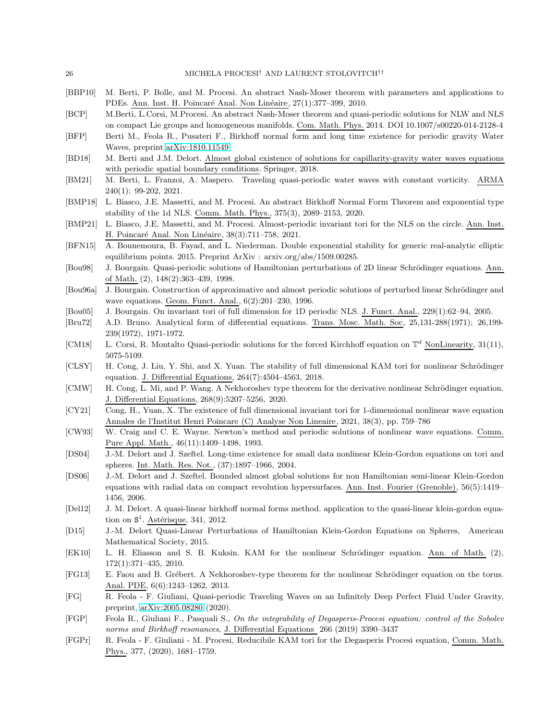- [BBP10] M. Berti, P. Bolle, and M. Procesi. An abstract Nash-Moser theorem with parameters and applications to PDEs. Ann. Inst. H. Poincaré Anal. Non Linéaire, 27(1):377-399, 2010.
- <span id="page-25-4"></span>[BCP] M.Berti, L.Corsi, M.Procesi. An abstract Nash-Moser theorem and quasi-periodic solutions for NLW and NLS on compact Lie groups and homogeneous manifolds. Com. Math. Phys. 2014. DOI 10.1007/s00220-014-2128-4
- [BFP] Berti M., Feola R., Pusateri F., Birkhoff normal form and long time existence for periodic gravity Water Waves, preprint [arXiv:1810.11549.](http://arxiv.org/abs/1810.11549)
- <span id="page-25-19"></span>[BD18] M. Berti and J.M. Delort. Almost global existence of solutions for capillarity-gravity water waves equations with periodic spatial boundary conditions. Springer, 2018.
- <span id="page-25-7"></span>[BM21] M. Berti, L. Franzoi, A. Maspero. Traveling quasi-periodic water waves with constant vorticity. ARMA 240(1): 99-202, 2021.
- <span id="page-25-15"></span>[BMP18] L. Biasco, J.E. Massetti, and M. Procesi. An abstract Birkhoff Normal Form Theorem and exponential type stability of the 1d NLS. Comm. Math. Phys., 375(3), 2089–2153, 2020.
- <span id="page-25-9"></span>[BMP21] L. Biasco, J.E. Massetti, and M. Procesi. Almost-periodic invariant tori for the NLS on the circle. Ann. Inst. H. Poincaré Anal. Non Linéaire, 38(3):711–758, 2021.
- [BFN15] A. Bounemoura, B. Fayad, and L. Niederman. Double exponential stability for generic real-analytic elliptic equilibrium points. 2015. Preprint ArXiv : arxiv.org/abs/1509.00285.
- <span id="page-25-3"></span>[Bou98] J. Bourgain. Quasi-periodic solutions of Hamiltonian perturbations of 2D linear Schrödinger equations. Ann. of Math. (2), 148(2):363–439, 1998.
- <span id="page-25-11"></span>[Bou96a] J. Bourgain. Construction of approximative and almost periodic solutions of perturbed linear Schrödinger and wave equations. Geom. Funct. Anal., 6(2):201–230, 1996.
- <span id="page-25-20"></span>[Bou05] J. Bourgain. On invariant tori of full dimension for 1D periodic NLS. J. Funct. Anal., 229(1):62–94, 2005.
- <span id="page-25-0"></span>[Bru72] A.D. Bruno. Analytical form of differential equations. Trans. Mosc. Math. Soc, 25,131-288(1971); 26,199- 239(1972), 1971-1972.
- <span id="page-25-5"></span>[CM18] L. Corsi, R. Montalto Quasi-periodic solutions for the forced Kirchhoff equation on  $\mathbb{T}^d$  NonLinearity, 31(11), 5075-5109.
- <span id="page-25-22"></span>[CLSY] H. Cong, J. Liu, Y. Shi, and X. Yuan. The stability of full dimensional KAM tori for nonlinear Schrödinger equation. J. Differential Equations, 264(7):4504–4563, 2018.
- <span id="page-25-16"></span>[CMW] H. Cong, L. Mi, and P. Wang. A Nekhoroshev type theorem for the derivative nonlinear Schrödinger equation. J. Differential Equations, 268(9):5207–5256, 2020.
- <span id="page-25-10"></span>[CY21] Cong, H., Yuan, X. The existence of full dimensional invariant tori for 1-dimensional nonlinear wave equation Annales de l'Institut Henri Poincare (C) Analyse Non Lineaire, 2021, 38(3), pp. 759–786
- <span id="page-25-1"></span>[CW93] W. Craig and C. E. Wayne. Newton's method and periodic solutions of nonlinear wave equations. Comm. Pure Appl. Math., 46(11):1409–1498, 1993.
- <span id="page-25-12"></span>[DS04] J.-M. Delort and J. Szeftel. Long-time existence for small data nonlinear Klein-Gordon equations on tori and spheres. Int. Math. Res. Not., (37):1897–1966, 2004.
- <span id="page-25-13"></span>[DS06] J.-M. Delort and J. Szeftel. Bounded almost global solutions for non Hamiltonian semi-linear Klein-Gordon equations with radial data on compact revolution hypersurfaces. Ann. Inst. Fourier (Grenoble), 56(5):1419– 1456, 2006.
- <span id="page-25-17"></span>[Del12] J. M. Delort. A quasi-linear birkhoff normal forms method. application to the quasi-linear klein-gordon equation on  $S^1$ . Astérisque, 341, 2012.
- <span id="page-25-18"></span>[D15] J.-M. Delort Quasi-Linear Perturbations of Hamiltonian Klein-Gordon Equations on Spheres, American Mathematical Society, 2015.
- <span id="page-25-2"></span>[EK10] L. H. Eliasson and S. B. Kuksin. KAM for the nonlinear Schrödinger equation. Ann. of Math. (2), 172(1):371–435, 2010.
- <span id="page-25-14"></span>[FG13] E. Faou and B. Grébert. A Nekhoroshev-type theorem for the nonlinear Schrödinger equation on the torus. Anal. PDE, 6(6):1243–1262, 2013.
- <span id="page-25-8"></span>[FG] R. Feola - F. Giuliani, Quasi-periodic Traveling Waves on an Infinitely Deep Perfect Fluid Under Gravity, preprint, [arXiv:2005.08280](http://arxiv.org/abs/2005.08280) (2020).
- <span id="page-25-21"></span>[FGP] Feola R., Giuliani F., Pasquali S., On the integrability of Degasperis-Procesi equation: control of the Sobolev norms and Birkhoff resonances, J. Differential Equations 266 (2019) 3390–3437
- <span id="page-25-6"></span>[FGPr] R. Feola - F. Giuliani - M. Procesi, Reducibile KAM tori for the Degasperis Procesi equation, Comm. Math. Phys., 377, (2020), 1681–1759.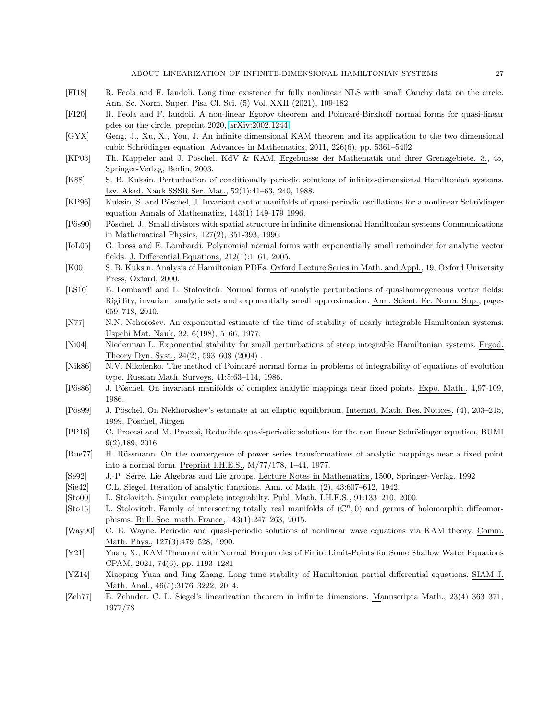- <span id="page-26-15"></span>[FI18] R. Feola and F. Iandoli. Long time existence for fully nonlinear NLS with small Cauchy data on the circle. Ann. Sc. Norm. Super. Pisa Cl. Sci. (5) Vol. XXII (2021), 109-182
- <span id="page-26-16"></span>[FI20] R. Feola and F. Iandoli. A non-linear Egorov theorem and Poincar´e-Birkhoff normal forms for quasi-linear pdes on the circle. preprint 2020, [arXiv:2002.1244](http://arxiv.org/abs/2002.1244)
- <span id="page-26-11"></span>[GYX] Geng, J., Xu, X., You, J. An infinite dimensional KAM theorem and its application to the two dimensional cubic Schrödinger equation Advances in Mathematics,  $2011$ ,  $226(6)$ , pp. 5361–5402
- [KP03] Th. Kappeler and J. P¨oschel. KdV & KAM, Ergebnisse der Mathematik und ihrer Grenzgebiete. 3., 45, Springer-Verlag, Berlin, 2003.
- <span id="page-26-7"></span>[K88] S. B. Kuksin. Perturbation of conditionally periodic solutions of infinite-dimensional Hamiltonian systems. Izv. Akad. Nauk SSSR Ser. Mat., 52(1):41–63, 240, 1988.
- <span id="page-26-9"></span>[KP96] Kuksin, S. and Pöschel, J. Invariant cantor manifolds of quasi-periodic oscillations for a nonlinear Schrödinger equation Annals of Mathematics, 143(1) 149-179 1996.
- <span id="page-26-8"></span>[Pös90] Pöschel, J., Small divisors with spatial structure in infinite dimensional Hamiltonian systems Communications in Mathematical Physics, 127(2), 351-393, 1990.
- <span id="page-26-17"></span>[IoL05] G. Iooss and E. Lombardi. Polynomial normal forms with exponentially small remainder for analytic vector fields. J. Differential Equations, 212(1):1–61, 2005.
- [K00] S. B. Kuksin. Analysis of Hamiltonian PDEs. Oxford Lecture Series in Math. and Appl., 19, Oxford University Press, Oxford, 2000.
- <span id="page-26-18"></span>[LS10] E. Lombardi and L. Stolovitch. Normal forms of analytic perturbations of quasihomogeneous vector fields: Rigidity, invariant analytic sets and exponentially small approximation. Ann. Scient. Ec. Norm. Sup., pages 659–718, 2010.
- <span id="page-26-20"></span>[N77] N.N. Nehorošev. An exponential estimate of the time of stability of nearly integrable Hamiltonian systems. Uspehi Mat. Nauk, 32, 6(198), 5–66, 1977.
- <span id="page-26-21"></span>[Ni04] Niederman L. Exponential stability for small perturbations of steep integrable Hamiltonian systems. Ergod. Theory Dyn. Syst., 24(2), 593–608 (2004) .
- <span id="page-26-6"></span>[Nik86] N.V. Nikolenko. The method of Poincaré normal forms in problems of integrability of equations of evolution type. Russian Math. Surveys, 41:5:63–114, 1986.
- <span id="page-26-2"></span>[Pös86] J. Pöschel. On invariant manifolds of complex analytic mappings near fixed points. Expo. Math., 4,97-109, 1986.
- <span id="page-26-19"></span>[Pös99] J. Pöschel. On Nekhoroshev's estimate at an elliptic equilibrium. Internat. Math. Res. Notices, (4), 203–215, 1999. Pöschel, Jürgen
- <span id="page-26-12"></span>[PP16] C. Procesi and M. Procesi, Reducible quasi-periodic solutions for the non linear Schrödinger equation, BUMI 9(2),189, 2016
- <span id="page-26-1"></span>[Rue77] H. Rüssmann. On the convergence of power series transformations of analytic mappings near a fixed point into a normal form. Preprint I.H.E.S., M/77/178, 1–44, 1977.
- <span id="page-26-22"></span>[Se92] J.-P Serre. Lie Algebras and Lie groups. Lecture Notes in Mathematics, 1500, Springer-Verlag, 1992
- <span id="page-26-0"></span>[Sie42] C.L. Siegel. Iteration of analytic functions. Ann. of Math. (2), 43:607–612, 1942.
- <span id="page-26-4"></span>[Sto00] L. Stolovitch. Singular complete integrabilty. Publ. Math. I.H.E.S., 91:133–210, 2000.
- <span id="page-26-3"></span>[Sto15] L. Stolovitch. Family of intersecting totally real manifolds of  $(\mathbb{C}^n,0)$  and germs of holomorphic diffeomorphisms. Bull. Soc. math. France, 143(1):247–263, 2015.
- <span id="page-26-10"></span>[Way90] C. E. Wayne. Periodic and quasi-periodic solutions of nonlinear wave equations via KAM theory. Comm. Math. Phys., 127(3):479–528, 1990.
- <span id="page-26-13"></span>[Y21] Yuan, X., KAM Theorem with Normal Frequencies of Finite Limit-Points for Some Shallow Water Equations CPAM, 2021, 74(6), pp. 1193–1281
- <span id="page-26-14"></span>[YZ14] Xiaoping Yuan and Jing Zhang. Long time stability of Hamiltonian partial differential equations. SIAM J. Math. Anal., 46(5):3176–3222, 2014.
- <span id="page-26-5"></span>[Zeh77] E. Zehnder. C. L. Siegel's linearization theorem in infinite dimensions. Manuscripta Math., 23(4) 363–371, 1977/78